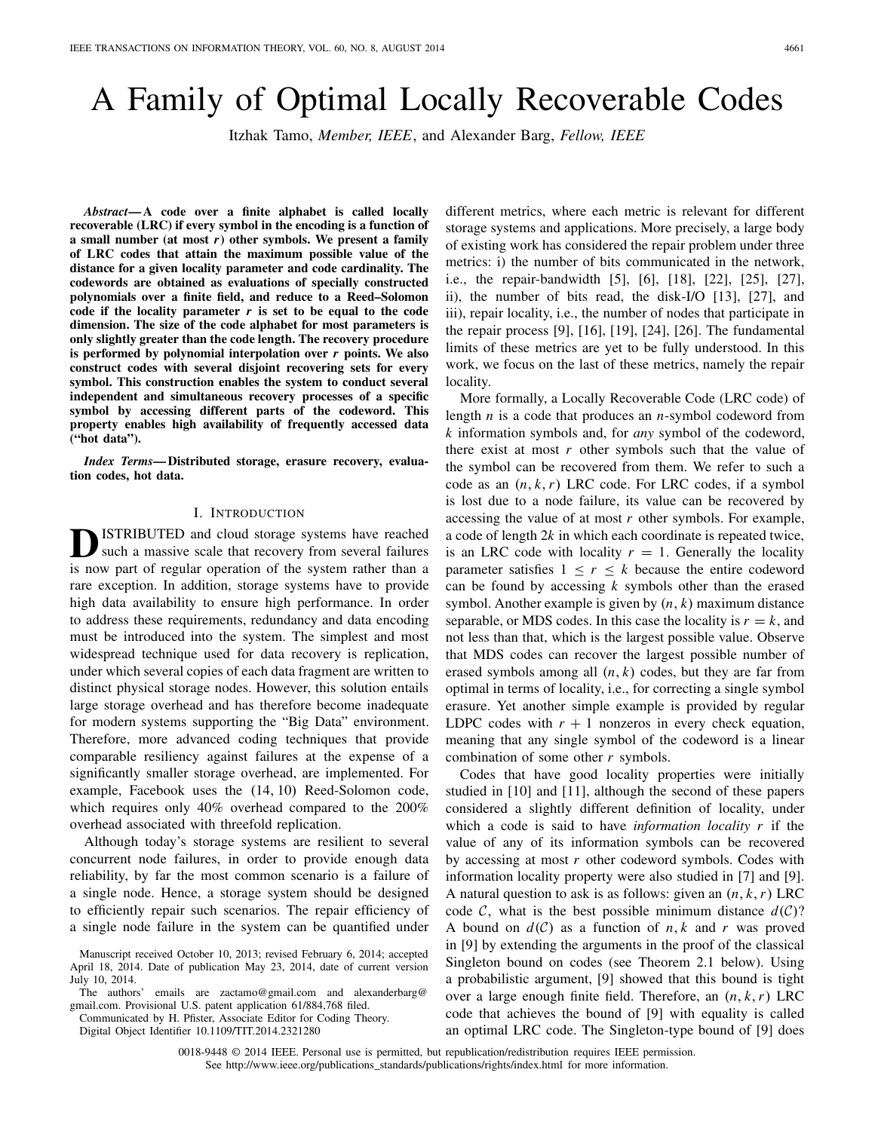# A Family of Optimal Locally Recoverable Codes

Itzhak Tamo, *Member, IEEE*, and Alexander Barg, *Fellow, IEEE*

*Abstract***— A code over a finite alphabet is called locally recoverable (LRC) if every symbol in the encoding is a function of a small number (at most** *r***) other symbols. We present a family of LRC codes that attain the maximum possible value of the distance for a given locality parameter and code cardinality. The codewords are obtained as evaluations of specially constructed polynomials over a finite field, and reduce to a Reed–Solomon** code if the locality parameter  $r$  is set to be equal to the code **dimension. The size of the code alphabet for most parameters is only slightly greater than the code length. The recovery procedure is performed by polynomial interpolation over** *r* **points. We also construct codes with several disjoint recovering sets for every symbol. This construction enables the system to conduct several independent and simultaneous recovery processes of a specific symbol by accessing different parts of the codeword. This property enables high availability of frequently accessed data ("hot data").**

*Index Terms***— Distributed storage, erasure recovery, evaluation codes, hot data.**

#### I. INTRODUCTION

**D**ISTRIBUTED and cloud storage systems have reached<br>such a massive scale that recovery from several failures is now part of regular operation of the system rather than a rare exception. In addition, storage systems have to provide high data availability to ensure high performance. In order to address these requirements, redundancy and data encoding must be introduced into the system. The simplest and most widespread technique used for data recovery is replication, under which several copies of each data fragment are written to distinct physical storage nodes. However, this solution entails large storage overhead and has therefore become inadequate for modern systems supporting the "Big Data" environment. Therefore, more advanced coding techniques that provide comparable resiliency against failures at the expense of a significantly smaller storage overhead, are implemented. For example, Facebook uses the (14, 10) Reed-Solomon code, which requires only 40% overhead compared to the 200% overhead associated with threefold replication.

Although today's storage systems are resilient to several concurrent node failures, in order to provide enough data reliability, by far the most common scenario is a failure of a single node. Hence, a storage system should be designed to efficiently repair such scenarios. The repair efficiency of a single node failure in the system can be quantified under

Communicated by H. Pfister, Associate Editor for Coding Theory.

Digital Object Identifier 10.1109/TIT.2014.2321280

different metrics, where each metric is relevant for different storage systems and applications. More precisely, a large body of existing work has considered the repair problem under three metrics: i) the number of bits communicated in the network, i.e., the repair-bandwidth [5], [6], [18], [22], [25], [27], ii), the number of bits read, the disk-I/O [13], [27], and iii), repair locality, i.e., the number of nodes that participate in the repair process [9], [16], [19], [24], [26]. The fundamental limits of these metrics are yet to be fully understood. In this work, we focus on the last of these metrics, namely the repair locality.

More formally, a Locally Recoverable Code (LRC code) of length *n* is a code that produces an *n*-symbol codeword from *k* information symbols and, for *any* symbol of the codeword, there exist at most  $r$  other symbols such that the value of the symbol can be recovered from them. We refer to such a code as an  $(n, k, r)$  LRC code. For LRC codes, if a symbol is lost due to a node failure, its value can be recovered by accessing the value of at most *r* other symbols. For example, a code of length 2*k* in which each coordinate is repeated twice, is an LRC code with locality  $r = 1$ . Generally the locality parameter satisfies  $1 \leq r \leq k$  because the entire codeword can be found by accessing *k* symbols other than the erased symbol. Another example is given by (*n*, *k*) maximum distance separable, or MDS codes. In this case the locality is  $r = k$ , and not less than that, which is the largest possible value. Observe that MDS codes can recover the largest possible number of erased symbols among all  $(n, k)$  codes, but they are far from optimal in terms of locality, i.e., for correcting a single symbol erasure. Yet another simple example is provided by regular LDPC codes with  $r + 1$  nonzeros in every check equation, meaning that any single symbol of the codeword is a linear combination of some other *r* symbols.

Codes that have good locality properties were initially studied in [10] and [11], although the second of these papers considered a slightly different definition of locality, under which a code is said to have *information locality r* if the value of any of its information symbols can be recovered by accessing at most *r* other codeword symbols. Codes with information locality property were also studied in [7] and [9]. A natural question to ask is as follows: given an  $(n, k, r)$  LRC code *C*, what is the best possible minimum distance  $d(C)$ ? A bound on  $d(C)$  as a function of *n*, *k* and *r* was proved in [9] by extending the arguments in the proof of the classical Singleton bound on codes (see Theorem 2.1 below). Using a probabilistic argument, [9] showed that this bound is tight over a large enough finite field. Therefore, an (*n*, *k*,*r*) LRC code that achieves the bound of [9] with equality is called an optimal LRC code. The Singleton-type bound of [9] does

Manuscript received October 10, 2013; revised February 6, 2014; accepted April 18, 2014. Date of publication May 23, 2014, date of current version July 10, 2014.

The authors' emails are zactamo@gmail.com and alexanderbarg@ gmail.com. Provisional U.S. patent application 61/884,768 filed.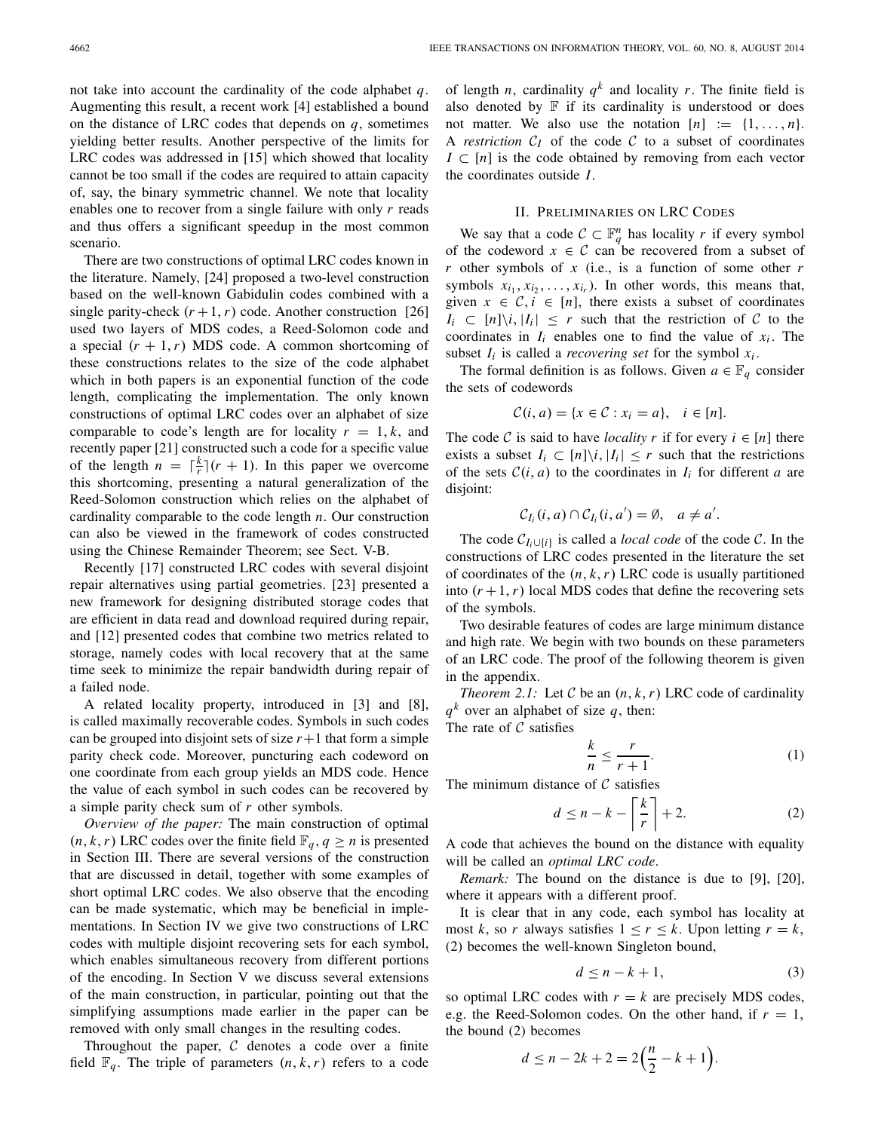not take into account the cardinality of the code alphabet *q*. Augmenting this result, a recent work [4] established a bound on the distance of LRC codes that depends on *q*, sometimes yielding better results. Another perspective of the limits for LRC codes was addressed in [15] which showed that locality cannot be too small if the codes are required to attain capacity of, say, the binary symmetric channel. We note that locality enables one to recover from a single failure with only *r* reads and thus offers a significant speedup in the most common scenario.

There are two constructions of optimal LRC codes known in the literature. Namely, [24] proposed a two-level construction based on the well-known Gabidulin codes combined with a single parity-check  $(r+1, r)$  code. Another construction [26] used two layers of MDS codes, a Reed-Solomon code and a special  $(r + 1, r)$  MDS code. A common shortcoming of these constructions relates to the size of the code alphabet which in both papers is an exponential function of the code length, complicating the implementation. The only known constructions of optimal LRC codes over an alphabet of size comparable to code's length are for locality  $r = 1, k$ , and recently paper [21] constructed such a code for a specific value of the length  $n = \lceil \frac{k}{r} \rceil (r + 1)$ . In this paper we overcome this shortcoming, presenting a natural generalization of the Reed-Solomon construction which relies on the alphabet of cardinality comparable to the code length *n*. Our construction can also be viewed in the framework of codes constructed using the Chinese Remainder Theorem; see Sect. V-B.

Recently [17] constructed LRC codes with several disjoint repair alternatives using partial geometries. [23] presented a new framework for designing distributed storage codes that are efficient in data read and download required during repair, and [12] presented codes that combine two metrics related to storage, namely codes with local recovery that at the same time seek to minimize the repair bandwidth during repair of a failed node.

A related locality property, introduced in [3] and [8], is called maximally recoverable codes. Symbols in such codes can be grouped into disjoint sets of size  $r+1$  that form a simple parity check code. Moreover, puncturing each codeword on one coordinate from each group yields an MDS code. Hence the value of each symbol in such codes can be recovered by a simple parity check sum of *r* other symbols.

*Overview of the paper:* The main construction of optimal  $(n, k, r)$  LRC codes over the finite field  $\mathbb{F}_q$ ,  $q \geq n$  is presented in Section III. There are several versions of the construction that are discussed in detail, together with some examples of short optimal LRC codes. We also observe that the encoding can be made systematic, which may be beneficial in implementations. In Section IV we give two constructions of LRC codes with multiple disjoint recovering sets for each symbol, which enables simultaneous recovery from different portions of the encoding. In Section V we discuss several extensions of the main construction, in particular, pointing out that the simplifying assumptions made earlier in the paper can be removed with only small changes in the resulting codes.

Throughout the paper, *C* denotes a code over a finite field  $\mathbb{F}_q$ . The triple of parameters  $(n, k, r)$  refers to a code of length *n*, cardinality  $q^k$  and locality *r*. The finite field is also denoted by  $\mathbb F$  if its cardinality is understood or does not matter. We also use the notation  $[n] := \{1, \ldots, n\}.$ A *restriction*  $C_I$  of the code  $C$  to a subset of coordinates *I* ⊂ [*n*] is the code obtained by removing from each vector the coordinates outside *I*.

# II. PRELIMINARIES ON LRC CODES

We say that a code  $C \subset \mathbb{F}_q^n$  has locality *r* if every symbol of the codeword  $x \in C$  can be recovered from a subset of *r* other symbols of *x* (i.e., is a function of some other *r* symbols  $x_{i_1}, x_{i_2}, \ldots, x_{i_r}$ ). In other words, this means that, given  $x \in C$ ,  $i \in [n]$ , there exists a subset of coordinates  $I_i \subset [n]\backslash i, |I_i| \leq r$  such that the restriction of C to the coordinates in  $I_i$  enables one to find the value of  $x_i$ . The subset  $I_i$  is called a *recovering set* for the symbol  $x_i$ .

The formal definition is as follows. Given  $a \in \mathbb{F}_q$  consider the sets of codewords

$$
\mathcal{C}(i,a) = \{x \in \mathcal{C} : x_i = a\}, \quad i \in [n].
$$

The code C is said to have *locality* r if for every  $i \in [n]$  there exists a subset  $I_i \subset [n] \setminus i, |I_i| \leq r$  such that the restrictions of the sets  $C(i, a)$  to the coordinates in  $I_i$  for different *a* are disjoint:

$$
C_{I_i}(i,a)\cap C_{I_i}(i,a')=\emptyset, \quad a\neq a'.
$$

The code  $C_{I_i \cup \{i\}}$  is called a *local code* of the code  $C$ . In the constructions of LRC codes presented in the literature the set of coordinates of the  $(n, k, r)$  LRC code is usually partitioned into  $(r+1, r)$  local MDS codes that define the recovering sets of the symbols.

Two desirable features of codes are large minimum distance and high rate. We begin with two bounds on these parameters of an LRC code. The proof of the following theorem is given in the appendix.

*Theorem 2.1:* Let  $C$  be an  $(n, k, r)$  LRC code of cardinality  $q^k$  over an alphabet of size  $q$ , then:

$$
\frac{k}{n} \le \frac{r}{r+1}.\tag{1}
$$

The minimum distance of *C* satisfies

The rate of *C* satisfies

$$
d \le n - k - \left\lceil \frac{k}{r} \right\rceil + 2. \tag{2}
$$

A code that achieves the bound on the distance with equality will be called an *optimal LRC code*.

*Remark:* The bound on the distance is due to [9], [20], where it appears with a different proof.

It is clear that in any code, each symbol has locality at most *k*, so *r* always satisfies  $1 \leq r \leq k$ . Upon letting  $r = k$ , (2) becomes the well-known Singleton bound,

$$
d \le n - k + 1,\tag{3}
$$

so optimal LRC codes with  $r = k$  are precisely MDS codes, e.g. the Reed-Solomon codes. On the other hand, if  $r = 1$ , the bound (2) becomes

$$
d \le n - 2k + 2 = 2\left(\frac{n}{2} - k + 1\right).
$$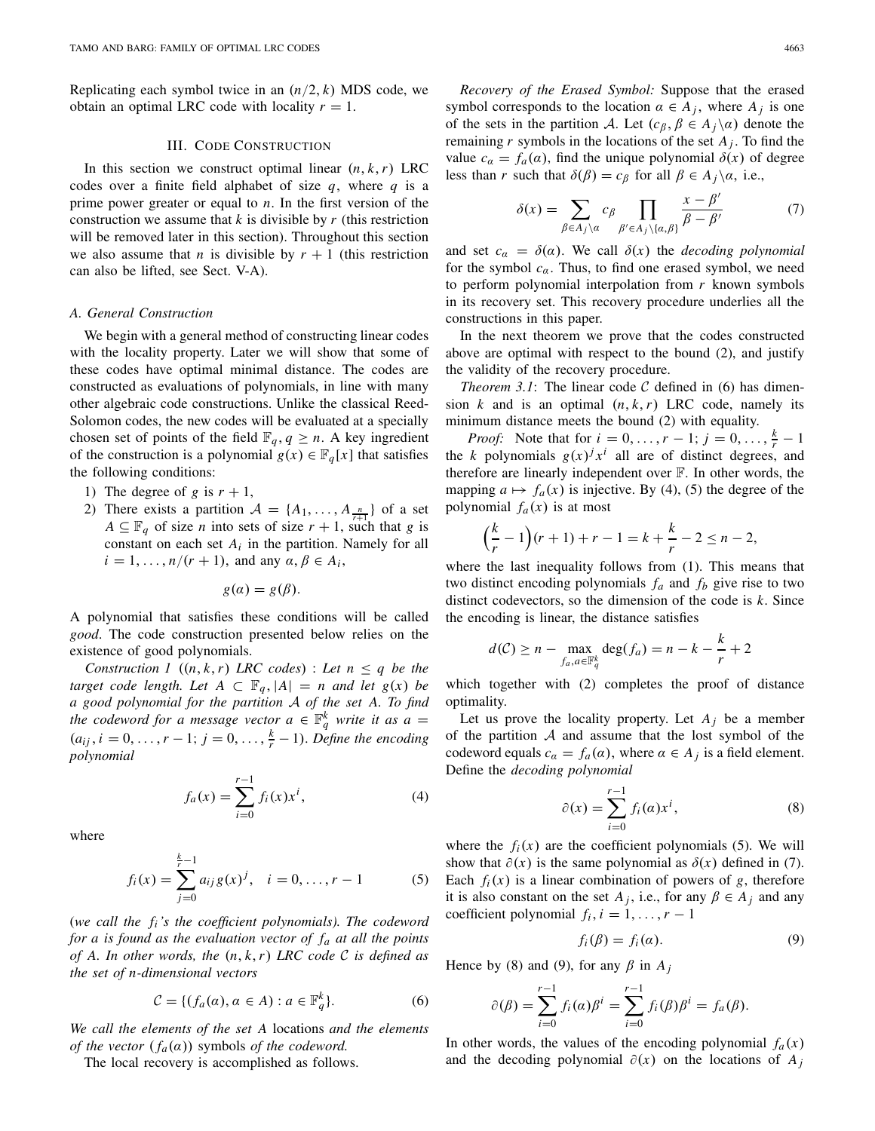Replicating each symbol twice in an  $(n/2, k)$  MDS code, we obtain an optimal LRC code with locality  $r = 1$ .

#### III. CODE CONSTRUCTION

In this section we construct optimal linear  $(n, k, r)$  LRC codes over a finite field alphabet of size *q*, where *q* is a prime power greater or equal to *n*. In the first version of the construction we assume that *k* is divisible by *r* (this restriction will be removed later in this section). Throughout this section we also assume that *n* is divisible by  $r + 1$  (this restriction can also be lifted, see Sect. V-A).

## *A. General Construction*

We begin with a general method of constructing linear codes with the locality property. Later we will show that some of these codes have optimal minimal distance. The codes are constructed as evaluations of polynomials, in line with many other algebraic code constructions. Unlike the classical Reed-Solomon codes, the new codes will be evaluated at a specially chosen set of points of the field  $\mathbb{F}_q$ ,  $q \geq n$ . A key ingredient of the construction is a polynomial  $g(x) \in \mathbb{F}_q[x]$  that satisfies the following conditions:

- 1) The degree of *g* is  $r + 1$ ,
- 2) There exists a partition  $A = \{A_1, \ldots, A_{\frac{n}{r+1}}\}$  of a set  $A \subseteq \mathbb{F}_q$  of size *n* into sets of size  $r + 1$ , such that *g* is constant on each set  $A_i$  in the partition. Namely for all  $i = 1, \ldots, n/(r+1)$ , and any  $\alpha, \beta \in A_i$ ,

$$
g(\alpha) = g(\beta).
$$

A polynomial that satisfies these conditions will be called *good*. The code construction presented below relies on the existence of good polynomials.

*Construction 1*  $((n, k, r)$  *LRC codes*) : *Let*  $n \leq q$  *be the target code length. Let*  $A \subset \mathbb{F}_q$ ,  $|A| = n$  *and let*  $g(x)$  *be a good polynomial for the partition A of the set A. To find the codeword for a message vector*  $a \in \mathbb{F}_q^k$  *write it as*  $a =$  $(a_{ij}, i = 0, \ldots, r - 1; j = 0, \ldots, \frac{k}{r} - 1)$ . *Define the encoding polynomial*

$$
f_a(x) = \sum_{i=0}^{r-1} f_i(x) x^i,
$$
 (4)

where

$$
f_i(x) = \sum_{j=0}^{\frac{k}{r}-1} a_{ij} g(x)^j, \quad i = 0, \dots, r-1
$$
 (5)

(*we call the fi's the coefficient polynomials). The codeword for a is found as the evaluation vector of fa at all the points of A. In other words, the* (*n*, *k*,*r*) *LRC code C is defined as the set of n-dimensional vectors*

$$
\mathcal{C} = \{ (f_a(\alpha), \alpha \in A) : a \in \mathbb{F}_q^k \}. \tag{6}
$$

*We call the elements of the set A* locations *and the elements of the vector*  $(f_a(\alpha))$  symbols *of the codeword.* 

The local recovery is accomplished as follows.

*Recovery of the Erased Symbol:* Suppose that the erased symbol corresponds to the location  $\alpha \in A_i$ , where  $A_i$  is one of the sets in the partition *A*. Let  $(c_{\beta}, \beta \in A_i \setminus \alpha)$  denote the remaining  $r$  symbols in the locations of the set  $A_j$ . To find the value  $c_{\alpha} = f_a(\alpha)$ , find the unique polynomial  $\delta(x)$  of degree less than *r* such that  $\delta(\beta) = c_{\beta}$  for all  $\beta \in A_j \setminus \alpha$ , i.e.,

$$
\delta(x) = \sum_{\beta \in A_j \setminus \alpha} c_{\beta} \prod_{\beta' \in A_j \setminus \{\alpha, \beta\}} \frac{x - \beta'}{\beta - \beta'}
$$
(7)

and set  $c_{\alpha} = \delta(\alpha)$ . We call  $\delta(x)$  the *decoding polynomial* for the symbol  $c_{\alpha}$ . Thus, to find one erased symbol, we need to perform polynomial interpolation from *r* known symbols in its recovery set. This recovery procedure underlies all the constructions in this paper.

In the next theorem we prove that the codes constructed above are optimal with respect to the bound (2), and justify the validity of the recovery procedure.

*Theorem 3.1*: The linear code  $C$  defined in (6) has dimension  $k$  and is an optimal  $(n, k, r)$  LRC code, namely its minimum distance meets the bound (2) with equality.

*Proof:* Note that for  $i = 0, ..., r - 1$ ;  $j = 0, ..., \frac{k}{r} - 1$ the *k* polynomials  $g(x)^j x^i$  all are of distinct degrees, and therefore are linearly independent over F. In other words, the mapping  $a \mapsto f_a(x)$  is injective. By (4), (5) the degree of the polynomial  $f_a(x)$  is at most

$$
\left(\frac{k}{r} - 1\right)(r+1) + r - 1 = k + \frac{k}{r} - 2 \le n - 2,
$$

where the last inequality follows from (1). This means that two distinct encoding polynomials  $f_a$  and  $f_b$  give rise to two distinct codevectors, so the dimension of the code is *k*. Since the encoding is linear, the distance satisfies

$$
d(C) \ge n - \max_{f_a, a \in \mathbb{F}_q^k} \deg(f_a) = n - k - \frac{k}{r} + 2
$$

which together with (2) completes the proof of distance optimality.

Let us prove the locality property. Let *Aj* be a member of the partition  $A$  and assume that the lost symbol of the codeword equals  $c_{\alpha} = f_a(\alpha)$ , where  $\alpha \in A_i$  is a field element. Define the *decoding polynomial*

$$
\partial(x) = \sum_{i=0}^{r-1} f_i(\alpha) x^i, \tag{8}
$$

where the  $f_i(x)$  are the coefficient polynomials (5). We will show that  $\partial(x)$  is the same polynomial as  $\delta(x)$  defined in (7). Each  $f_i(x)$  is a linear combination of powers of *g*, therefore it is also constant on the set  $A_j$ , i.e., for any  $\beta \in A_j$  and any coefficient polynomial  $f_i$ ,  $i = 1, \ldots, r - 1$ 

$$
f_i(\beta) = f_i(\alpha). \tag{9}
$$

Hence by (8) and (9), for any  $\beta$  in  $A_i$ 

$$
\partial(\beta) = \sum_{i=0}^{r-1} f_i(\alpha) \beta^i = \sum_{i=0}^{r-1} f_i(\beta) \beta^i = f_a(\beta).
$$

In other words, the values of the encoding polynomial  $f_a(x)$ and the decoding polynomial ∂(*x*) on the locations of *Aj*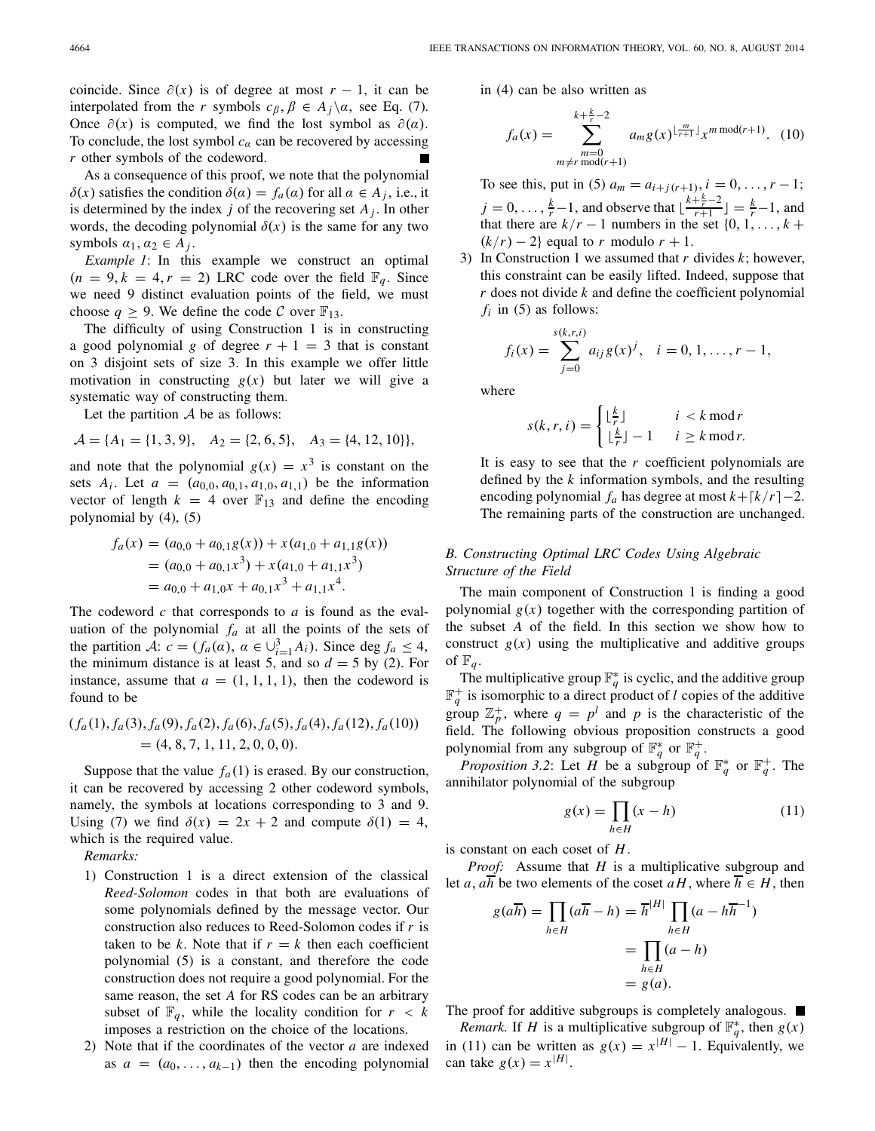coincide. Since  $\partial(x)$  is of degree at most  $r - 1$ , it can be interpolated from the *r* symbols  $c_{\beta}, \beta \in A_j \setminus \alpha$ , see Eq. (7). Once  $\partial(x)$  is computed, we find the lost symbol as  $\partial(a)$ . To conclude, the lost symbol  $c_{\alpha}$  can be recovered by accessing *r* other symbols of the codeword.

As a consequence of this proof, we note that the polynomial δ(*x*) satisfies the condition δ(α) = *fa* (α) for all α ∈ *Aj*, i.e., it is determined by the index  $j$  of the recovering set  $A_j$ . In other words, the decoding polynomial  $\delta(x)$  is the same for any two symbols  $\alpha_1, \alpha_2 \in A_i$ .

*Example 1*: In this example we construct an optimal  $(n = 9, k = 4, r = 2)$  LRC code over the field  $\mathbb{F}_q$ . Since we need 9 distinct evaluation points of the field, we must choose  $q \ge 9$ . We define the code C over  $\mathbb{F}_{13}$ .

The difficulty of using Construction 1 is in constructing a good polynomial *g* of degree  $r + 1 = 3$  that is constant on 3 disjoint sets of size 3. In this example we offer little motivation in constructing  $g(x)$  but later we will give a systematic way of constructing them.

Let the partition *A* be as follows:

$$
\mathcal{A} = \{A_1 = \{1, 3, 9\}, \quad A_2 = \{2, 6, 5\}, \quad A_3 = \{4, 12, 10\}\},\
$$

and note that the polynomial  $g(x) = x^3$  is constant on the sets  $A_i$ . Let  $a = (a_{0,0}, a_{0,1}, a_{1,0}, a_{1,1})$  be the information vector of length  $k = 4$  over  $\mathbb{F}_{13}$  and define the encoding polynomial by (4), (5)

$$
f_a(x) = (a_{0,0} + a_{0,1}g(x)) + x(a_{1,0} + a_{1,1}g(x))
$$
  
=  $(a_{0,0} + a_{0,1}x^3) + x(a_{1,0} + a_{1,1}x^3)$   
=  $a_{0,0} + a_{1,0}x + a_{0,1}x^3 + a_{1,1}x^4$ .

The codeword *c* that corresponds to *a* is found as the evaluation of the polynomial  $f_a$  at all the points of the sets of the partition *A*:  $c = (f_a(\alpha), \alpha \in \bigcup_{i=1}^3 A_i)$ . Since deg  $f_a \leq 4$ , the minimum distance is at least 5, and so  $d = 5$  by (2). For instance, assume that  $a = (1, 1, 1, 1)$ , then the codeword is found to be

$$
(f_a(1), f_a(3), f_a(9), f_a(2), f_a(6), f_a(5), f_a(4), f_a(12), f_a(10))
$$
  
= (4, 8, 7, 1, 11, 2, 0, 0, 0).

Suppose that the value  $f_a(1)$  is erased. By our construction, it can be recovered by accessing 2 other codeword symbols, namely, the symbols at locations corresponding to 3 and 9. Using (7) we find  $\delta(x) = 2x + 2$  and compute  $\delta(1) = 4$ , which is the required value.

*Remarks:*

- 1) Construction 1 is a direct extension of the classical *Reed-Solomon* codes in that both are evaluations of some polynomials defined by the message vector. Our construction also reduces to Reed-Solomon codes if *r* is taken to be *k*. Note that if  $r = k$  then each coefficient polynomial (5) is a constant, and therefore the code construction does not require a good polynomial. For the same reason, the set *A* for RS codes can be an arbitrary subset of  $\mathbb{F}_q$ , while the locality condition for  $r < k$ imposes a restriction on the choice of the locations.
- 2) Note that if the coordinates of the vector *a* are indexed as  $a = (a_0, \ldots, a_{k-1})$  then the encoding polynomial

in (4) can be also written as

$$
f_a(x) = \sum_{\substack{m=0 \ m \neq r \bmod(r+1)}}^{k+\frac{k}{r}-2} a_m g(x)^{\lfloor \frac{m}{r+1} \rfloor} x^{m \bmod(r+1)}.
$$
 (10)

To see this, put in (5)  $a_m = a_{i+j(r+1)}, i = 0, ..., r-1;$ *j* = 0, ...,  $\frac{k}{r} - 1$ , and observe that  $\lfloor \frac{k + \frac{k}{r} - 2}{r + 1} \rfloor = \frac{k}{r} - 1$ , and that there are  $k/r - 1$  numbers in the set  $\{0, 1, \ldots, k + \}$  $(k/r) - 2$ } equal to *r* modulo  $r + 1$ .

3) In Construction 1 we assumed that *r* divides *k*; however, this constraint can be easily lifted. Indeed, suppose that *r* does not divide *k* and define the coefficient polynomial  $f_i$  in (5) as follows:

$$
f_i(x) = \sum_{j=0}^{s(k,r,i)} a_{ij} g(x)^j, \quad i = 0, 1, \dots, r-1,
$$

where

$$
s(k, r, i) = \begin{cases} \lfloor \frac{k}{r} \rfloor & i < k \mod r \\ \lfloor \frac{k}{r} \rfloor - 1 & i \ge k \mod r. \end{cases}
$$

It is easy to see that the *r* coefficient polynomials are defined by the *k* information symbols, and the resulting encoding polynomial  $f_a$  has degree at most  $k + \lfloor k/r \rfloor - 2$ . The remaining parts of the construction are unchanged.

# *B. Constructing Optimal LRC Codes Using Algebraic Structure of the Field*

The main component of Construction 1 is finding a good polynomial  $g(x)$  together with the corresponding partition of the subset *A* of the field. In this section we show how to construct  $g(x)$  using the multiplicative and additive groups of  $\mathbb{F}_q$ .

The multiplicative group  $\mathbb{F}_q^*$  is cyclic, and the additive group  $\mathbb{F}_q^+$  is isomorphic to a direct product of *l* copies of the additive group  $\mathbb{Z}_p^+$ , where  $q = p^l$  and p is the characteristic of the field. The following obvious proposition constructs a good polynomial from any subgroup of  $\mathbb{F}_q^*$  or  $\mathbb{F}_q^+$ .

*Proposition 3.2*: Let *H* be a subgroup of  $\mathbb{F}_q^*$  or  $\mathbb{F}_q^+$ . The annihilator polynomial of the subgroup

$$
g(x) = \prod_{h \in H} (x - h)
$$
 (11)

is constant on each coset of *H*.

*Proof:* Assume that *H* is a multiplicative subgroup and let *a*,  $a\overline{h}$  be two elements of the coset  $aH$ , where  $\overline{h} \in H$ , then

$$
g(a\overline{h}) = \prod_{h \in H} (a\overline{h} - h) = \overline{h}^{|H|} \prod_{h \in H} (a - h\overline{h}^{-1})
$$

$$
= \prod_{h \in H} (a - h)
$$

$$
= g(a).
$$

The proof for additive subgroups is completely analogous.  $\blacksquare$ 

*Remark.* If *H* is a multiplicative subgroup of  $\mathbb{F}_q^*$ , then  $g(x)$ in (11) can be written as  $g(x) = x^{|H|} - 1$ . Equivalently, we can take  $g(x) = x^{|H|}$ .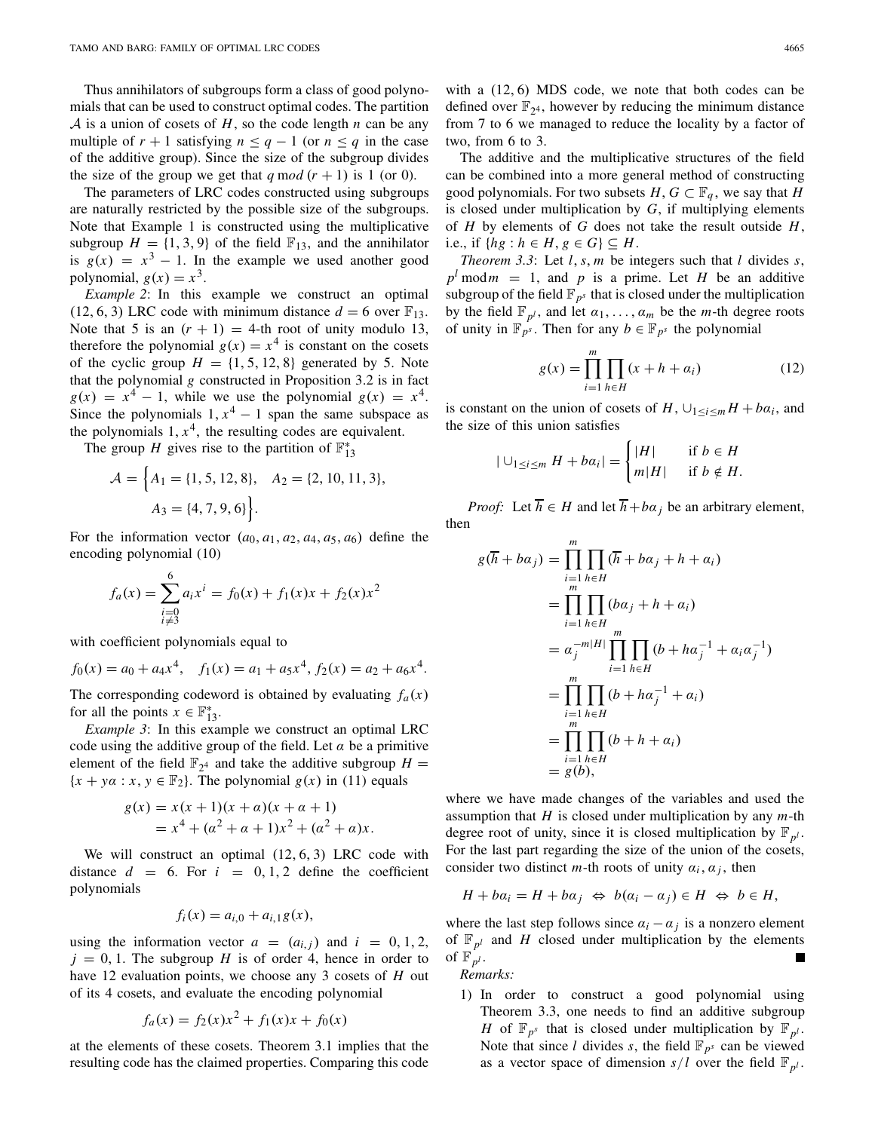Thus annihilators of subgroups form a class of good polynomials that can be used to construct optimal codes. The partition *A* is a union of cosets of  $H$ , so the code length  $n$  can be any multiple of  $r + 1$  satisfying  $n \leq q - 1$  (or  $n \leq q$  in the case of the additive group). Since the size of the subgroup divides the size of the group we get that  $q \mod (r + 1)$  is 1 (or 0).

The parameters of LRC codes constructed using subgroups are naturally restricted by the possible size of the subgroups. Note that Example 1 is constructed using the multiplicative subgroup  $H = \{1, 3, 9\}$  of the field  $\mathbb{F}_{13}$ , and the annihilator is  $g(x) = x<sup>3</sup> - 1$ . In the example we used another good polynomial,  $g(x) = x^3$ .

*Example 2*: In this example we construct an optimal (12, 6, 3) LRC code with minimum distance  $d = 6$  over  $\mathbb{F}_{13}$ . Note that 5 is an  $(r + 1) = 4$ -th root of unity modulo 13, therefore the polynomial  $g(x) = x^4$  is constant on the cosets of the cyclic group  $H = \{1, 5, 12, 8\}$  generated by 5. Note that the polynomial *g* constructed in Proposition 3.2 is in fact  $g(x) = x^4 - 1$ , while we use the polynomial  $g(x) = x^4$ . Since the polynomials  $1, x^4 - 1$  span the same subspace as the polynomials  $1, x<sup>4</sup>$ , the resulting codes are equivalent.

The group *H* gives rise to the partition of  $\mathbb{F}_{13}^*$ 

$$
\mathcal{A} = \left\{ A_1 = \{1, 5, 12, 8\}, \quad A_2 = \{2, 10, 11, 3\}, \right. \\
A_3 = \{4, 7, 9, 6\} \right\}.
$$

For the information vector  $(a_0, a_1, a_2, a_4, a_5, a_6)$  define the encoding polynomial (10)

$$
f_a(x) = \sum_{\substack{i=0 \ i \neq 3}}^6 a_i x^i = f_0(x) + f_1(x)x + f_2(x)x^2
$$

with coefficient polynomials equal to

$$
f_0(x) = a_0 + a_4x^4
$$
,  $f_1(x) = a_1 + a_5x^4$ ,  $f_2(x) = a_2 + a_6x^4$ .

The corresponding codeword is obtained by evaluating  $f_a(x)$ for all the points  $x \in \mathbb{F}_{13}^*$ .

*Example 3*: In this example we construct an optimal LRC code using the additive group of the field. Let  $\alpha$  be a primitive element of the field  $\mathbb{F}_{24}$  and take the additive subgroup  $H =$  ${x + y\alpha : x, y \in \mathbb{F}_2}$ . The polynomial  $g(x)$  in (11) equals

$$
g(x) = x(x + 1)(x + a)(x + a + 1)
$$
  
=  $x^4 + (a^2 + a + 1)x^2 + (a^2 + a)x$ .

We will construct an optimal  $(12, 6, 3)$  LRC code with distance  $d = 6$ . For  $i = 0, 1, 2$  define the coefficient polynomials

$$
f_i(x) = a_{i,0} + a_{i,1}g(x),
$$

using the information vector  $a = (a_{i,j})$  and  $i = 0, 1, 2$ ,  $j = 0, 1$ . The subgroup *H* is of order 4, hence in order to have 12 evaluation points, we choose any 3 cosets of *H* out of its 4 cosets, and evaluate the encoding polynomial

$$
f_a(x) = f_2(x)x^2 + f_1(x)x + f_0(x)
$$

at the elements of these cosets. Theorem 3.1 implies that the resulting code has the claimed properties. Comparing this code

with a  $(12, 6)$  MDS code, we note that both codes can be defined over  $\mathbb{F}_{24}$ , however by reducing the minimum distance from 7 to 6 we managed to reduce the locality by a factor of two, from 6 to 3.

The additive and the multiplicative structures of the field can be combined into a more general method of constructing good polynomials. For two subsets  $H, G \subset \mathbb{F}_q$ , we say that *H* is closed under multiplication by *G*, if multiplying elements of *H* by elements of *G* does not take the result outside *H*, i.e., if  ${hg : h ∈ H, g ∈ G} ⊆ H$ .

*Theorem 3.3*: Let *l*,*s*, *m* be integers such that *l* divides *s*,  $p^l$  mod $m = 1$ , and  $p$  is a prime. Let *H* be an additive subgroup of the field  $\mathbb{F}_{p^s}$  that is closed under the multiplication by the field  $\mathbb{F}_{p^l}$ , and let  $\alpha_1, \ldots, \alpha_m$  be the *m*-th degree roots of unity in  $\mathbb{F}_{p^s}$ . Then for any  $b \in \mathbb{F}_{p^s}$  the polynomial

$$
g(x) = \prod_{i=1}^{m} \prod_{h \in H} (x + h + a_i)
$$
 (12)

is constant on the union of cosets of *H*,  $\bigcup_{1 \le i \le m} H + b\alpha_i$ , and the size of this union satisfies

$$
|\bigcup_{1 \le i \le m} H + b\alpha_i| = \begin{cases} |H| & \text{if } b \in H \\ m|H| & \text{if } b \notin H. \end{cases}
$$

*Proof:* Let  $\overline{h} \in H$  and let  $\overline{h} + b\alpha_j$  be an arbitrary element, then

$$
g(\overline{h} + b\alpha_j) = \prod_{i=1}^m \prod_{h \in H} (\overline{h} + b\alpha_j + h + \alpha_i)
$$
  
\n
$$
= \prod_{i=1}^m \prod_{h \in H} (b\alpha_j + h + \alpha_i)
$$
  
\n
$$
= \alpha_j^{-m|H|} \prod_{i=1}^m \prod_{h \in H} (b + h\alpha_j^{-1} + \alpha_i \alpha_j^{-1})
$$
  
\n
$$
= \prod_{i=1}^m \prod_{h \in H} (b + h\alpha_j^{-1} + \alpha_i)
$$
  
\n
$$
= \prod_{i=1}^m \prod_{h \in H} (b + h + \alpha_i)
$$
  
\n
$$
= g(b),
$$

where we have made changes of the variables and used the assumption that *H* is closed under multiplication by any *m*-th degree root of unity, since it is closed multiplication by  $\mathbb{F}_{p^l}$ . For the last part regarding the size of the union of the cosets, consider two distinct *m*-th roots of unity  $\alpha_i$ ,  $\alpha_j$ , then

$$
H + ba_i = H + ba_j \Leftrightarrow b(a_i - a_j) \in H \Leftrightarrow b \in H,
$$

where the last step follows since  $\alpha_i - \alpha_j$  is a nonzero element of  $\mathbb{F}_{p^l}$  and *H* closed under multiplication by the elements of  $\mathbb{F}_{p^l}^r$ .

*Remarks:*

1) In order to construct a good polynomial using Theorem 3.3, one needs to find an additive subgroup *H* of  $\mathbb{F}_{p^s}$  that is closed under multiplication by  $\mathbb{F}_{p^l}$ . Note that since *l* divides *s*, the field  $\mathbb{F}_{p^s}$  can be viewed as a vector space of dimension  $s/l$  over the field  $\mathbb{F}_{p^l}$ .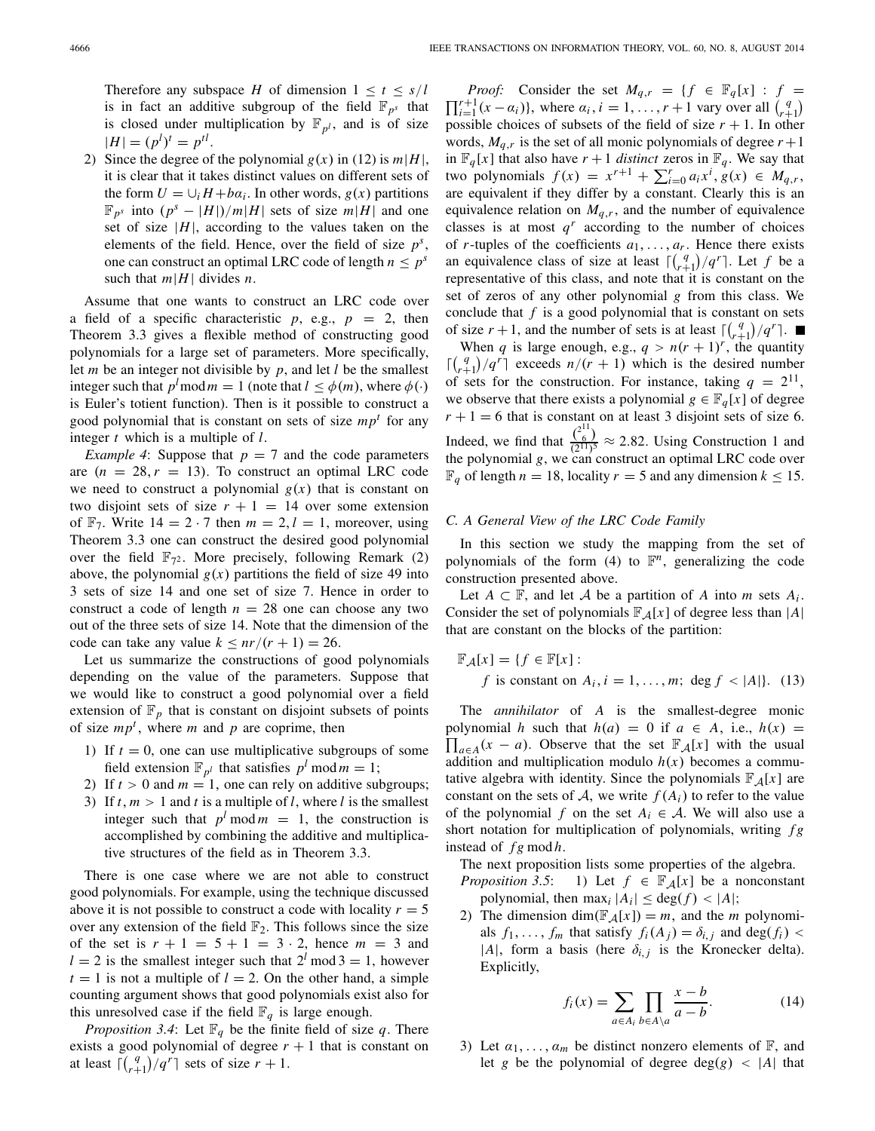Therefore any subspace *H* of dimension  $1 \le t \le s/l$ is in fact an additive subgroup of the field  $\mathbb{F}_{p^s}$  that is closed under multiplication by  $\mathbb{F}_{p^l}$ , and is of size  $|H| = (p^l)^t = p^{tl}.$ 

2) Since the degree of the polynomial  $g(x)$  in (12) is  $m|H|$ , it is clear that it takes distinct values on different sets of the form  $U = \bigcup_i H + b\alpha_i$ . In other words,  $g(x)$  partitions  $\mathbb{F}_{p^s}$  into  $(p^s - |H|)/m|H|$  sets of size  $m|H|$  and one set of size  $|H|$ , according to the values taken on the elements of the field. Hence, over the field of size *ps*, one can construct an optimal LRC code of length  $n \leq p^s$ such that  $m|H|$  divides *n*.

Assume that one wants to construct an LRC code over a field of a specific characteristic  $p$ , e.g.,  $p = 2$ , then Theorem 3.3 gives a flexible method of constructing good polynomials for a large set of parameters. More specifically, let *m* be an integer not divisible by *p*, and let *l* be the smallest integer such that  $p^l$  mod  $m = 1$  (note that  $l \le \phi(m)$ , where  $\phi(\cdot)$ is Euler's totient function). Then is it possible to construct a good polynomial that is constant on sets of size *mp<sup>t</sup>* for any integer *t* which is a multiple of *l*.

*Example 4*: Suppose that  $p = 7$  and the code parameters are  $(n = 28, r = 13)$ . To construct an optimal LRC code we need to construct a polynomial  $g(x)$  that is constant on two disjoint sets of size  $r + 1 = 14$  over some extension of  $\mathbb{F}_7$ . Write  $14 = 2 \cdot 7$  then  $m = 2, l = 1$ , moreover, using Theorem 3.3 one can construct the desired good polynomial over the field  $\mathbb{F}_{72}$ . More precisely, following Remark (2) above, the polynomial  $g(x)$  partitions the field of size 49 into 3 sets of size 14 and one set of size 7. Hence in order to construct a code of length  $n = 28$  one can choose any two out of the three sets of size 14. Note that the dimension of the code can take any value  $k \leq nr/(r+1) = 26$ .

Let us summarize the constructions of good polynomials depending on the value of the parameters. Suppose that we would like to construct a good polynomial over a field extension of  $\mathbb{F}_p$  that is constant on disjoint subsets of points of size  $mp<sup>t</sup>$ , where *m* and *p* are coprime, then

- 1) If  $t = 0$ , one can use multiplicative subgroups of some field extension  $\mathbb{F}_{p^l}$  that satisfies  $p^l \text{ mod } m = 1$ ;
- 2) If  $t > 0$  and  $m = 1$ , one can rely on additive subgroups;
- 3) If  $t, m > 1$  and  $t$  is a multiple of  $l$ , where  $l$  is the smallest integer such that  $p^l \mod m = 1$ , the construction is accomplished by combining the additive and multiplicative structures of the field as in Theorem 3.3.

There is one case where we are not able to construct good polynomials. For example, using the technique discussed above it is not possible to construct a code with locality  $r = 5$ over any extension of the field  $\mathbb{F}_2$ . This follows since the size of the set is  $r + 1 = 5 + 1 = 3 \cdot 2$ , hence  $m = 3$  and  $l = 2$  is the smallest integer such that  $2^{l}$  mod  $3 = 1$ , however  $t = 1$  is not a multiple of  $l = 2$ . On the other hand, a simple counting argument shows that good polynomials exist also for this unresolved case if the field  $\mathbb{F}_q$  is large enough.

*Proposition 3.4*: Let  $\mathbb{F}_q$  be the finite field of size q. There exists a good polynomial of degree  $r + 1$  that is constant on at least  $\lceil {q \choose r+1} / q^r \rceil$  sets of size  $r + 1$ .

*Proof:* Consider the set  $M_{q,r} = \{f \in \mathbb{F}_q[x] : f =$  $\prod_{i=1}^{r+1} (x - a_i)$ , where  $a_i$ ,  $i = 1, \ldots, r+1$  vary over all  $\binom{q}{r+1}$ possible choices of subsets of the field of size  $r + 1$ . In other words,  $M_{q,r}$  is the set of all monic polynomials of degree  $r+1$ in  $\mathbb{F}_q[x]$  that also have  $r + 1$  *distinct* zeros in  $\mathbb{F}_q$ . We say that  $f(x) = x^{r+1} + \sum_{i=0}^{r} a_i x^i, g(x) \in M_{q,r}$ are equivalent if they differ by a constant. Clearly this is an equivalence relation on  $M_{q,r}$ , and the number of equivalence classes is at most  $q<sup>r</sup>$  according to the number of choices of *r*-tuples of the coefficients  $a_1, \ldots, a_r$ . Hence there exists an equivalence class of size at least  $\lceil \binom{q}{r+1}/q^r \rceil$ . Let *f* be a representative of this class, and note that it is constant on the set of zeros of any other polynomial *g* from this class. We conclude that *f* is a good polynomial that is constant on sets of size  $r + 1$ , and the number of sets is at least  $\lceil \binom{q}{r+1} / q^r \rceil$ .

When *q* is large enough, e.g.,  $q > n(r + 1)^r$ , the quantity  $\lceil {q \choose r+1} / q^r \rceil$  exceeds  $n/(r+1)$  which is the desired number of sets for the construction. For instance, taking  $q = 2^{11}$ , we observe that there exists a polynomial  $g \in \mathbb{F}_q[x]$  of degree  $r + 1 = 6$  that is constant on at least 3 disjoint sets of size 6. Indeed, we find that  $\frac{\binom{2^{11}}{6}}{(2^{11})^5} \approx 2.82$ . Using Construction 1 and the polynomial *g*, we can construct an optimal LRC code over  $\mathbb{F}_q$  of length  $n = 18$ , locality  $r = 5$  and any dimension  $k \le 15$ .

# *C. A General View of the LRC Code Family*

In this section we study the mapping from the set of polynomials of the form (4) to  $\mathbb{F}^n$ , generalizing the code construction presented above.

Let  $A \subset \mathbb{F}$ , and let  $\mathcal{A}$  be a partition of  $A$  into  $m$  sets  $A_i$ . Consider the set of polynomials  $\mathbb{F}_A[x]$  of degree less than  $|A|$ that are constant on the blocks of the partition:

$$
\mathbb{F}_{\mathcal{A}}[x] = \{ f \in \mathbb{F}[x] : f \text{ is constant on } A_i, i = 1, \dots, m; \deg f < |A|\}. \tag{13}
$$

The *annihilator* of *A* is the smallest-degree monic polynomial *h* such that  $h(a) = 0$  if  $a \in A$ , i.e.,  $h(x) =$  $\prod_{a \in A} (x - a)$ . Observe that the set  $\mathbb{F}_{A}[x]$  with the usual addition and multiplication modulo  $h(x)$  becomes a commutative algebra with identity. Since the polynomials  $\mathbb{F}_A[x]$  are constant on the sets of *A*, we write  $f(A_i)$  to refer to the value of the polynomial *f* on the set  $A_i \in \mathcal{A}$ . We will also use a short notation for multiplication of polynomials, writing *f g* instead of *f g* mod *h*.

The next proposition lists some properties of the algebra.

- *Proposition 3.5*: 1) Let  $f \in \mathbb{F}_A[x]$  be a nonconstant polynomial, then  $\max_i |A_i| \leq \deg(f) < |A|$ ;
- 2) The dimension dim( $\mathbb{F}_A[x]$ ) = *m*, and the *m* polynomials  $f_1, \ldots, f_m$  that satisfy  $f_i(A_j) = \delta_{i,j}$  and deg( $f_i$ ) < |*A*|, form a basis (here  $\delta_{i,j}$  is the Kronecker delta). Explicitly,

$$
f_i(x) = \sum_{a \in A_i} \prod_{b \in A \setminus a} \frac{x - b}{a - b}.
$$
 (14)

3) Let  $\alpha_1, \ldots, \alpha_m$  be distinct nonzero elements of  $\mathbb{F}$ , and let *g* be the polynomial of degree  $deg(g) < |A|$  that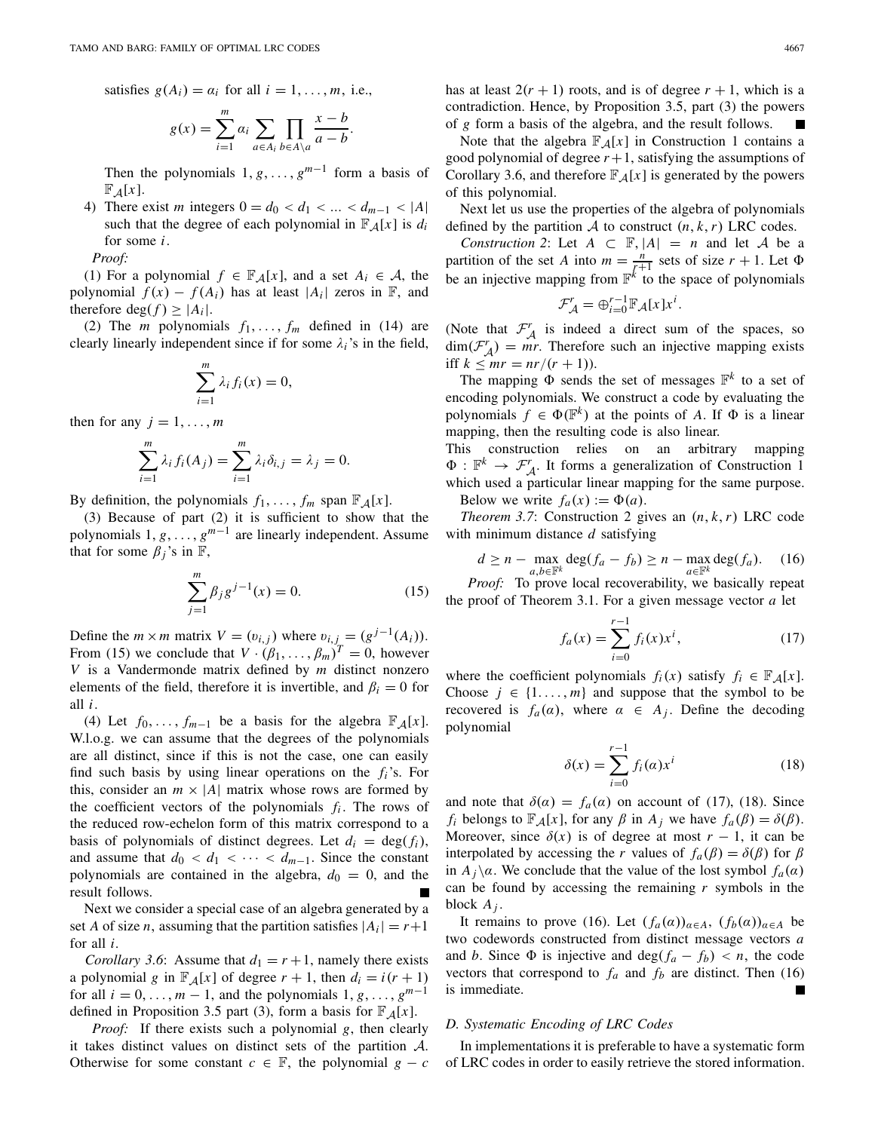satisfies  $g(A_i) = a_i$  for all  $i = 1, \ldots, m$ , i.e.,

$$
g(x) = \sum_{i=1}^{m} \alpha_i \sum_{a \in A_i} \prod_{b \in A \setminus a} \frac{x - b}{a - b}
$$

.

Then the polynomials  $1, g, \ldots, g^{m-1}$  form a basis of  $\mathbb{F}_{\mathcal{A}}[x].$ 

4) There exist *m* integers  $0 = d_0 < d_1 < ... < d_{m-1} < |A|$ such that the degree of each polynomial in  $\mathbb{F}_A[x]$  is  $d_i$ for some *i*.

*Proof:*

(1) For a polynomial  $f \in \mathbb{F}_A[x]$ , and a set  $A_i \in \mathcal{A}$ , the polynomial  $f(x) - f(A_i)$  has at least  $|A_i|$  zeros in  $\mathbb{F}$ , and therefore  $\deg(f) \geq |A_i|$ .

(2) The *m* polynomials  $f_1, \ldots, f_m$  defined in (14) are clearly linearly independent since if for some  $\lambda_i$ 's in the field,

$$
\sum_{i=1}^{m} \lambda_i f_i(x) = 0,
$$

then for any  $j = 1, \ldots, m$ 

$$
\sum_{i=1}^m \lambda_i f_i(A_j) = \sum_{i=1}^m \lambda_i \delta_{i,j} = \lambda_j = 0.
$$

By definition, the polynomials  $f_1, \ldots, f_m$  span  $\mathbb{F}_A[x]$ .

(3) Because of part (2) it is sufficient to show that the polynomials 1, *g*,..., *gm*−<sup>1</sup> are linearly independent. Assume that for some  $\beta_j$ 's in F,

$$
\sum_{j=1}^{m} \beta_j g^{j-1}(x) = 0.
$$
 (15)

Define the *m* × *m* matrix *V* =  $(v_{i,j})$  where  $v_{i,j} = (g^{j-1}(A_i)).$ From (15) we conclude that  $V \cdot (\beta_1, \ldots, \beta_m)^T = 0$ , however *V* is a Vandermonde matrix defined by *m* distinct nonzero elements of the field, therefore it is invertible, and  $\beta_i = 0$  for all *i*.

(4) Let  $f_0, \ldots, f_{m-1}$  be a basis for the algebra  $\mathbb{F}_A[x]$ . W.l.o.g. we can assume that the degrees of the polynomials are all distinct, since if this is not the case, one can easily find such basis by using linear operations on the *fi*'s. For this, consider an  $m \times |A|$  matrix whose rows are formed by the coefficient vectors of the polynomials  $f_i$ . The rows of the reduced row-echelon form of this matrix correspond to a basis of polynomials of distinct degrees. Let  $d_i = \deg(f_i)$ , and assume that  $d_0 < d_1 < \cdots < d_{m-1}$ . Since the constant polynomials are contained in the algebra,  $d_0 = 0$ , and the result follows.

Next we consider a special case of an algebra generated by a set *A* of size *n*, assuming that the partition satisfies  $|A_i| = r+1$ for all *i*.

*Corollary 3.6*: Assume that  $d_1 = r + 1$ , namely there exists a polynomial *g* in  $\mathbb{F}_A[x]$  of degree  $r + 1$ , then  $d_i = i(r + 1)$ for all  $i = 0, \ldots, m - 1$ , and the polynomials  $1, g, \ldots, g^{m-1}$ defined in Proposition 3.5 part (3), form a basis for  $\mathbb{F}_A[x]$ .

*Proof:* If there exists such a polynomial *g*, then clearly it takes distinct values on distinct sets of the partition *A*. Otherwise for some constant  $c \in \mathbb{F}$ , the polynomial  $g - c$  has at least  $2(r + 1)$  roots, and is of degree  $r + 1$ , which is a contradiction. Hence, by Proposition 3.5, part (3) the powers of *g* form a basis of the algebra, and the result follows.

Note that the algebra  $\mathbb{F}_A[x]$  in Construction 1 contains a good polynomial of degree  $r+1$ , satisfying the assumptions of Corollary 3.6, and therefore  $\mathbb{F}_A[x]$  is generated by the powers of this polynomial.

Next let us use the properties of the algebra of polynomials defined by the partition  $A$  to construct  $(n, k, r)$  LRC codes.

*Construction 2*: Let  $A \subset \mathbb{F}$ ,  $|A| = n$  and let *A* be a partition of the set *A* into  $m = \frac{n}{r+1}$  sets of size  $r + 1$ . Let  $\Phi$ be an injective mapping from  $\mathbb{F}^k$  to the space of polynomials

$$
\mathcal{F}_{\mathcal{A}}^{r} = \bigoplus_{i=0}^{r-1} \mathbb{F}_{\mathcal{A}}[x]x^{i}.
$$

(Note that  $\mathcal{F}_{\mathcal{A}}^{r}$  is indeed a direct sum of the spaces, so  $\dim(\mathcal{F}_{\mathcal{A}}^{r})$  and Therefore such an injective meaning suista  $\dim(\mathcal{F}_{\mathcal{A}}^r) = m r$ . Therefore such an injective mapping exists iff *k* ≤ *mr* =  $nr/(r + 1)$ ).

The mapping  $\Phi$  sends the set of messages  $\mathbb{F}^k$  to a set of encoding polynomials. We construct a code by evaluating the polynomials  $f \in \Phi(\mathbb{F}^k)$  at the points of A. If  $\Phi$  is a linear mapping, then the resulting code is also linear.

This construction relies on an arbitrary mapping  $\Phi : \mathbb{F}^k \to \mathcal{F}_{\mathcal{A}}^r$ . It forms a generalization of Construction 1 which used a particular linear mapping for the same purpose.

Below we write  $f_a(x) := \Phi(a)$ .

*Theorem 3.7*: Construction 2 gives an  $(n, k, r)$  LRC code with minimum distance *d* satisfying

$$
d \ge n - \max_{a,b \in \mathbb{F}^k} \deg(f_a - f_b) \ge n - \max_{a \in \mathbb{F}^k} \deg(f_a). \tag{16}
$$

*Proof:* To prove local recoverability, we basically repeat the proof of Theorem 3.1. For a given message vector *a* let

$$
f_a(x) = \sum_{i=0}^{r-1} f_i(x) x^i,
$$
 (17)

where the coefficient polynomials  $f_i(x)$  satisfy  $f_i \in \mathbb{F}_A[x]$ . Choose  $j \in \{1, \ldots, m\}$  and suppose that the symbol to be recovered is  $f_a(\alpha)$ , where  $\alpha \in A_j$ . Define the decoding polynomial

$$
\delta(x) = \sum_{i=0}^{r-1} f_i(\alpha) x^i \tag{18}
$$

and note that  $\delta(\alpha) = f_a(\alpha)$  on account of (17), (18). Since *f<sub>i</sub>* belongs to  $\mathbb{F}_A[x]$ , for any  $\beta$  in  $A_j$  we have  $f_a(\beta) = \delta(\beta)$ . Moreover, since  $\delta(x)$  is of degree at most  $r - 1$ , it can be interpolated by accessing the *r* values of  $f_a(\beta) = \delta(\beta)$  for  $\beta$ in  $A_i \setminus \alpha$ . We conclude that the value of the lost symbol  $f_a(\alpha)$ can be found by accessing the remaining *r* symbols in the block  $A_i$ .

It remains to prove (16). Let  $(f_a(\alpha))_{\alpha \in A}$ ,  $(f_b(\alpha))_{\alpha \in A}$  be two codewords constructed from distinct message vectors *a* and *b*. Since  $\Phi$  is injective and  $\deg(f_a - f_b) < n$ , the code vectors that correspond to  $f_a$  and  $f_b$  are distinct. Then (16) is immediate.

#### *D. Systematic Encoding of LRC Codes*

In implementations it is preferable to have a systematic form of LRC codes in order to easily retrieve the stored information.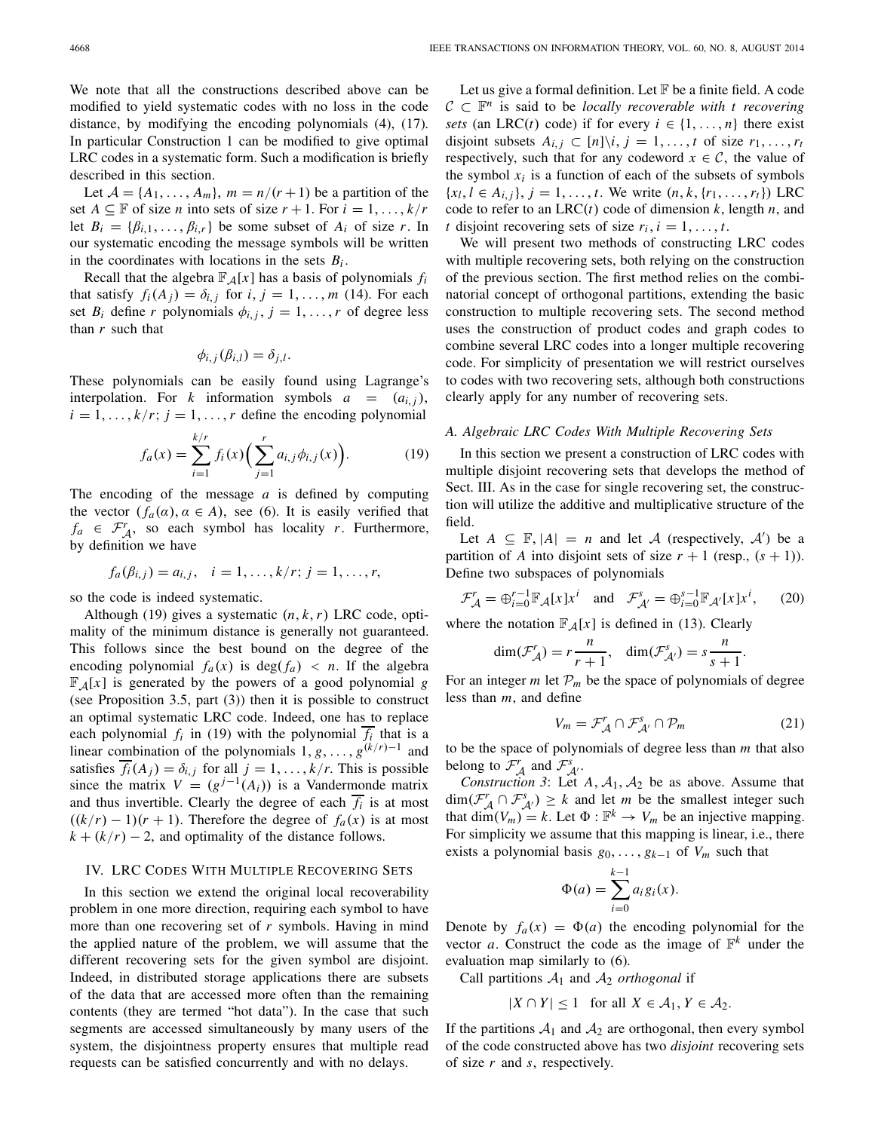We note that all the constructions described above can be modified to yield systematic codes with no loss in the code distance, by modifying the encoding polynomials (4), (17). In particular Construction 1 can be modified to give optimal LRC codes in a systematic form. Such a modification is briefly described in this section.

Let  $A = \{A_1, \ldots, A_m\}$ ,  $m = n/(r+1)$  be a partition of the set  $A \subseteq \mathbb{F}$  of size *n* into sets of size  $r + 1$ . For  $i = 1, \ldots, k/r$ let  $B_i = \{\beta_{i,1}, \ldots, \beta_{i,r}\}\$ be some subset of  $A_i$  of size *r*. In our systematic encoding the message symbols will be written in the coordinates with locations in the sets  $B_i$ .

Recall that the algebra  $\mathbb{F}_A[x]$  has a basis of polynomials  $f_i$ that satisfy  $f_i(A_j) = \delta_{i,j}$  for  $i, j = 1, \ldots, m$  (14). For each set  $B_i$  define *r* polynomials  $\phi_{i,j}$ ,  $j = 1, \ldots, r$  of degree less than *r* such that

$$
\phi_{i,j}(\beta_{i,l})=\delta_{j,l}.
$$

These polynomials can be easily found using Lagrange's interpolation. For *k* information symbols  $a = (a_{i,j})$ ,  $i = 1, \ldots, k/r$ ;  $j = 1, \ldots, r$  define the encoding polynomial

$$
f_a(x) = \sum_{i=1}^{k/r} f_i(x) \Big( \sum_{j=1}^r a_{i,j} \phi_{i,j}(x) \Big). \tag{19}
$$

The encoding of the message *a* is defined by computing the vector  $(f_a(\alpha), \alpha \in A)$ , see (6). It is easily verified that  $f_a \in \mathcal{F}_A^r$ , so each symbol has locality *r*. Furthermore, by definition we have

$$
f_a(\beta_{i,j}) = a_{i,j}, \quad i = 1, \dots, k/r; \, j = 1, \dots, r,
$$

so the code is indeed systematic.

Although (19) gives a systematic (*n*, *k*,*r*) LRC code, optimality of the minimum distance is generally not guaranteed. This follows since the best bound on the degree of the encoding polynomial  $f_a(x)$  is deg( $f_a$ ) < *n*. If the algebra  $\mathbb{F}_{\mathcal{A}}[x]$  is generated by the powers of a good polynomial *g* (see Proposition 3.5, part (3)) then it is possible to construct an optimal systematic LRC code. Indeed, one has to replace each polynomial  $f_i$  in (19) with the polynomial  $f_i$  that is a linear combination of the polynomials  $1, g, \ldots, g^{(k/r)-1}$  and satisfies  $\overline{f_i}(A_j) = \delta_{i,j}$  for all  $j = 1, ..., k/r$ . This is possible since the matrix  $V = (g^{j-1}(A_i))$  is a Vandermonde matrix and thus invertible. Clearly the degree of each  $f_i$  is at most  $((k/r) - 1)(r + 1)$ . Therefore the degree of  $f_a(x)$  is at most  $k + (k/r) - 2$ , and optimality of the distance follows.

# IV. LRC CODES WITH MULTIPLE RECOVERING SETS

In this section we extend the original local recoverability problem in one more direction, requiring each symbol to have more than one recovering set of *r* symbols. Having in mind the applied nature of the problem, we will assume that the different recovering sets for the given symbol are disjoint. Indeed, in distributed storage applications there are subsets of the data that are accessed more often than the remaining contents (they are termed "hot data"). In the case that such segments are accessed simultaneously by many users of the system, the disjointness property ensures that multiple read requests can be satisfied concurrently and with no delays.

Let us give a formal definition. Let  $\mathbb F$  be a finite field. A code  $C \subset \mathbb{F}^n$  is said to be *locally recoverable with t recovering sets* (an LRC(*t*) code) if for every  $i \in \{1, ..., n\}$  there exist disjoint subsets  $A_{i,j} \subset [n] \setminus i, j = 1, \ldots, t$  of size  $r_1, \ldots, r_t$ respectively, such that for any codeword  $x \in \mathcal{C}$ , the value of the symbol  $x_i$  is a function of each of the subsets of symbols  ${x_l, l ∈ A_{i,j}}$ , *j* = 1, ..., *t*. We write  $(n, k, {r_1, ..., r_t})$  LRC code to refer to an  $LRC(t)$  code of dimension  $k$ , length  $n$ , and *t* disjoint recovering sets of size  $r_i$ ,  $i = 1, \ldots, t$ .

We will present two methods of constructing LRC codes with multiple recovering sets, both relying on the construction of the previous section. The first method relies on the combinatorial concept of orthogonal partitions, extending the basic construction to multiple recovering sets. The second method uses the construction of product codes and graph codes to combine several LRC codes into a longer multiple recovering code. For simplicity of presentation we will restrict ourselves to codes with two recovering sets, although both constructions clearly apply for any number of recovering sets.

# *A. Algebraic LRC Codes With Multiple Recovering Sets*

In this section we present a construction of LRC codes with multiple disjoint recovering sets that develops the method of Sect. III. As in the case for single recovering set, the construction will utilize the additive and multiplicative structure of the field.

Let  $A \subseteq \mathbb{F}, |A| = n$  and let *A* (respectively, *A*<sup>'</sup>) be a partition of *A* into disjoint sets of size  $r + 1$  (resp.,  $(s + 1)$ ). Define two subspaces of polynomials

$$
\mathcal{F}_{\mathcal{A}}^r = \bigoplus_{i=0}^{r-1} \mathbb{F}_{\mathcal{A}}[x]x^i \quad \text{and} \quad \mathcal{F}_{\mathcal{A}'}^s = \bigoplus_{i=0}^{s-1} \mathbb{F}_{\mathcal{A}'}[x]x^i, \tag{20}
$$

where the notation  $\mathbb{F}_{A}[x]$  is defined in (13). Clearly

$$
\dim(\mathcal{F}_{\mathcal{A}}^r) = r \frac{n}{r+1}, \quad \dim(\mathcal{F}_{\mathcal{A}}^s) = s \frac{n}{s+1}.
$$

For an integer  $m$  let  $P_m$  be the space of polynomials of degree less than *m*, and define

$$
V_m = \mathcal{F}_{\mathcal{A}}^r \cap \mathcal{F}_{\mathcal{A}'}^s \cap \mathcal{P}_m \tag{21}
$$

to be the space of polynomials of degree less than *m* that also belong to  $\mathcal{F}_{\mathcal{A}}^{r}$  and  $\mathcal{F}_{\mathcal{A}'}^{s}$ .

*Construction 3*: Let  $A$ ,  $A_1$ ,  $A_2$  be as above. Assume that  $\dim(\mathcal{F}_{\mathcal{A}}^r \cap \mathcal{F}_{\mathcal{A}}^s) \geq k$  and let *m* be the smallest integer such that dim $(V_m) = k$ . Let  $\Phi : \mathbb{F}^k \to V_m$  be an injective mapping. For simplicity we assume that this mapping is linear, i.e., there exists a polynomial basis *g*0,..., *gk*<sup>−</sup><sup>1</sup> of *Vm* such that

$$
\Phi(a) = \sum_{i=0}^{k-1} a_i g_i(x).
$$

Denote by  $f_a(x) = \Phi(a)$  the encoding polynomial for the vector *a*. Construct the code as the image of  $\mathbb{F}^k$  under the evaluation map similarly to (6).

Call partitions  $A_1$  and  $A_2$  *orthogonal* if

 $|X \cap Y| \le 1$  for all  $X \in \mathcal{A}_1, Y \in \mathcal{A}_2$ .

If the partitions  $A_1$  and  $A_2$  are orthogonal, then every symbol of the code constructed above has two *disjoint* recovering sets of size *r* and *s*, respectively.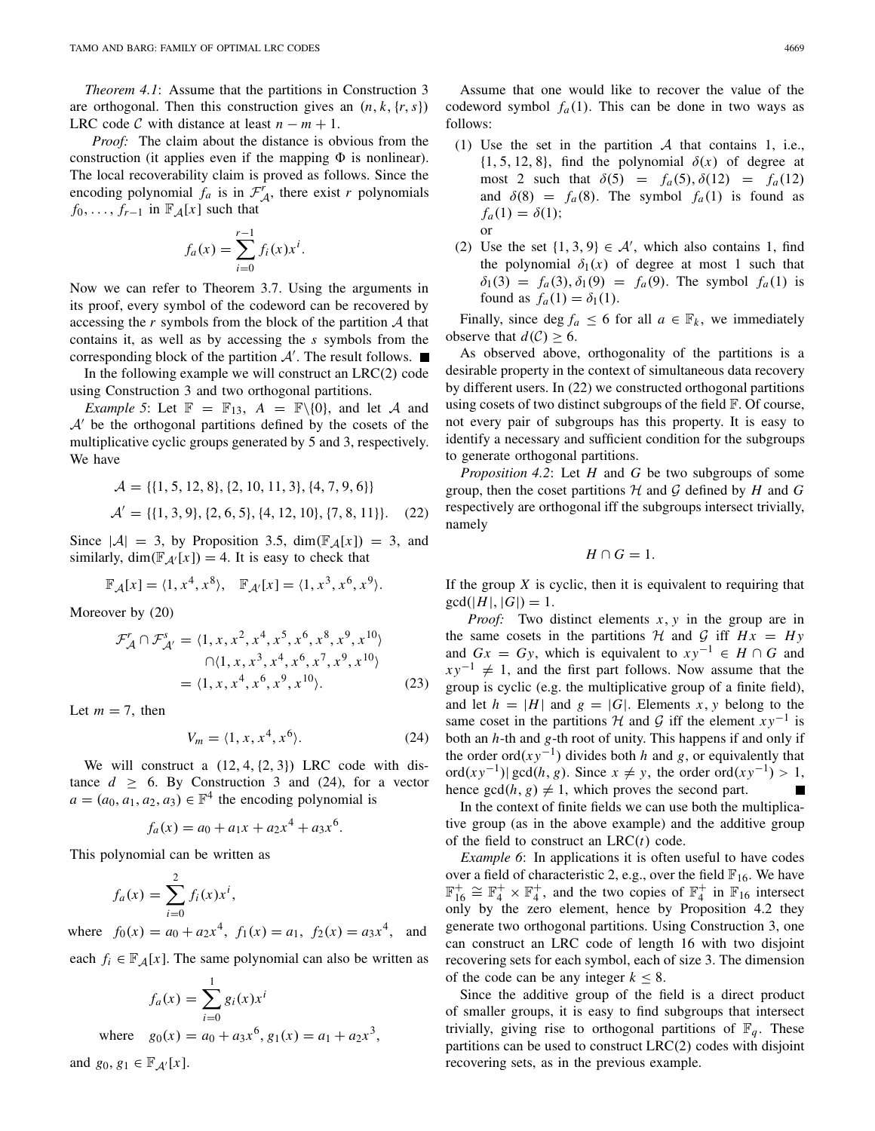*Theorem 4.1*: Assume that the partitions in Construction 3 are orthogonal. Then this construction gives an  $(n, k, \{r, s\})$ LRC code  $C$  with distance at least  $n - m + 1$ .

*Proof:* The claim about the distance is obvious from the construction (it applies even if the mapping  $\Phi$  is nonlinear). The local recoverability claim is proved as follows. Since the encoding polynomial  $f_a$  is in  $\mathcal{F}_A^f$ , there exist *r* polynomials  $f_0, \ldots, f_{r-1}$  in  $\mathbb{F}_A[x]$  such that

$$
f_a(x) = \sum_{i=0}^{r-1} f_i(x) x^i.
$$

Now we can refer to Theorem 3.7. Using the arguments in its proof, every symbol of the codeword can be recovered by accessing the *r* symbols from the block of the partition *A* that contains it, as well as by accessing the *s* symbols from the corresponding block of the partition  $A'$ . The result follows.

In the following example we will construct an  $LRC(2)$  code using Construction 3 and two orthogonal partitions.

*Example 5*: Let  $\mathbb{F} = \mathbb{F}_{13}$ ,  $A = \mathbb{F}\backslash\{0\}$ , and let *A* and  $A'$  be the orthogonal partitions defined by the cosets of the multiplicative cyclic groups generated by 5 and 3, respectively. We have

$$
\mathcal{A} = \{ \{1, 5, 12, 8\}, \{2, 10, 11, 3\}, \{4, 7, 9, 6\} \}
$$

$$
\mathcal{A}' = \{ \{1, 3, 9\}, \{2, 6, 5\}, \{4, 12, 10\}, \{7, 8, 11\} \}. (22)
$$

Since  $|A| = 3$ , by Proposition 3.5, dim( $\mathbb{F}_A[x]$ ) = 3, and similarly, dim( $\mathbb{F}_{A'}[x]$ ) = 4. It is easy to check that

$$
\mathbb{F}_{\mathcal{A}}[x] = \langle 1, x^4, x^8 \rangle, \quad \mathbb{F}_{\mathcal{A}'}[x] = \langle 1, x^3, x^6, x^9 \rangle.
$$

Moreover by (20)

$$
\mathcal{F}_{\mathcal{A}}^{r} \cap \mathcal{F}_{\mathcal{A}'}^{s} = \langle 1, x, x^{2}, x^{4}, x^{5}, x^{6}, x^{8}, x^{9}, x^{10} \rangle
$$
  

$$
\cap \langle 1, x, x^{3}, x^{4}, x^{6}, x^{7}, x^{9}, x^{10} \rangle
$$
  

$$
= \langle 1, x, x^{4}, x^{6}, x^{9}, x^{10} \rangle.
$$
 (23)

Let  $m = 7$ , then

$$
V_m = \langle 1, x, x^4, x^6 \rangle. \tag{24}
$$

We will construct a  $(12, 4, \{2, 3\})$  LRC code with distance  $d \geq 6$ . By Construction 3 and (24), for a vector  $a = (a_0, a_1, a_2, a_3) \in \mathbb{F}^4$  the encoding polynomial is

$$
f_a(x) = a_0 + a_1x + a_2x^4 + a_3x^6.
$$

This polynomial can be written as

$$
f_a(x) = \sum_{i=0}^{2} f_i(x) x^i,
$$

where  $f_0(x) = a_0 + a_2x^4$ ,  $f_1(x) = a_1$ ,  $f_2(x) = a_3x^4$ , and each  $f_i \in \mathbb{F}_A[x]$ . The same polynomial can also be written as

$$
f_a(x) = \sum_{i=0}^{1} g_i(x)x^i
$$
  
where  $g_0(x) = a_0 + a_3x^6$ ,  $g_1(x) = a_1 + a_2x^3$ ,

and  $g_0, g_1 \in \mathbb{F}_{\mathcal{A}}/[x]$ .

- (1) Use the set in the partition *A* that contains 1, i.e.,  $\{1, 5, 12, 8\}$ , find the polynomial  $\delta(x)$  of degree at most 2 such that  $\delta(5) = f_a(5), \delta(12) = f_a(12)$ and  $\delta(8) = f_a(8)$ . The symbol  $f_a(1)$  is found as  $f_a(1) = \delta(1);$ or
- (2) Use the set  $\{1, 3, 9\} \in \mathcal{A}'$ , which also contains 1, find the polynomial  $\delta_1(x)$  of degree at most 1 such that  $\delta_1(3) = f_a(3), \delta_1(9) = f_a(9)$ . The symbol  $f_a(1)$  is found as  $f_a(1) = \delta_1(1)$ .

Finally, since deg  $f_a \leq 6$  for all  $a \in \mathbb{F}_k$ , we immediately observe that  $d(C) \geq 6$ .

As observed above, orthogonality of the partitions is a desirable property in the context of simultaneous data recovery by different users. In (22) we constructed orthogonal partitions using cosets of two distinct subgroups of the field F. Of course, not every pair of subgroups has this property. It is easy to identify a necessary and sufficient condition for the subgroups to generate orthogonal partitions.

*Proposition 4.2*: Let *H* and *G* be two subgroups of some group, then the coset partitions  $H$  and  $G$  defined by  $H$  and  $G$ respectively are orthogonal iff the subgroups intersect trivially, namely

$$
H\cap G=1.
$$

If the group *X* is cyclic, then it is equivalent to requiring that  $gcd(|H|, |G|) = 1.$ 

*Proof:* Two distinct elements *x*, *y* in the group are in the same cosets in the partitions  $H$  and  $G$  iff  $Hx = Hy$ and  $Gx = Gy$ , which is equivalent to  $xy^{-1} \in H \cap G$  and  $xy^{-1} \neq 1$ , and the first part follows. Now assume that the group is cyclic (e.g. the multiplicative group of a finite field), and let  $h = |H|$  and  $g = |G|$ . Elements *x*, *y* belong to the same coset in the partitions  $H$  and  $G$  iff the element  $xy^{-1}$  is both an *h*-th and *g*-th root of unity. This happens if and only if the order ord $(xy^{-1})$  divides both *h* and *g*, or equivalently that ord( $xy^{-1}$ )| gcd( $h, g$ ). Since  $x ≠ y$ , the order ord( $xy^{-1}$ ) > 1, hence  $gcd(h, g) \neq 1$ , which proves the second part. П

In the context of finite fields we can use both the multiplicative group (as in the above example) and the additive group of the field to construct an LRC(*t*) code.

*Example 6*: In applications it is often useful to have codes over a field of characteristic 2, e.g., over the field  $\mathbb{F}_{16}$ . We have  $\mathbb{F}_{16}^+ \cong \mathbb{F}_{4}^+ \times \mathbb{F}_{4}^+$ , and the two copies of  $\mathbb{F}_{4}^+$  in  $\mathbb{F}_{16}$  intersect only by the zero element, hence by Proposition 4.2 they generate two orthogonal partitions. Using Construction 3, one can construct an LRC code of length 16 with two disjoint recovering sets for each symbol, each of size 3. The dimension of the code can be any integer  $k \leq 8$ .

Since the additive group of the field is a direct product of smaller groups, it is easy to find subgroups that intersect trivially, giving rise to orthogonal partitions of  $\mathbb{F}_q$ . These partitions can be used to construct LRC(2) codes with disjoint recovering sets, as in the previous example.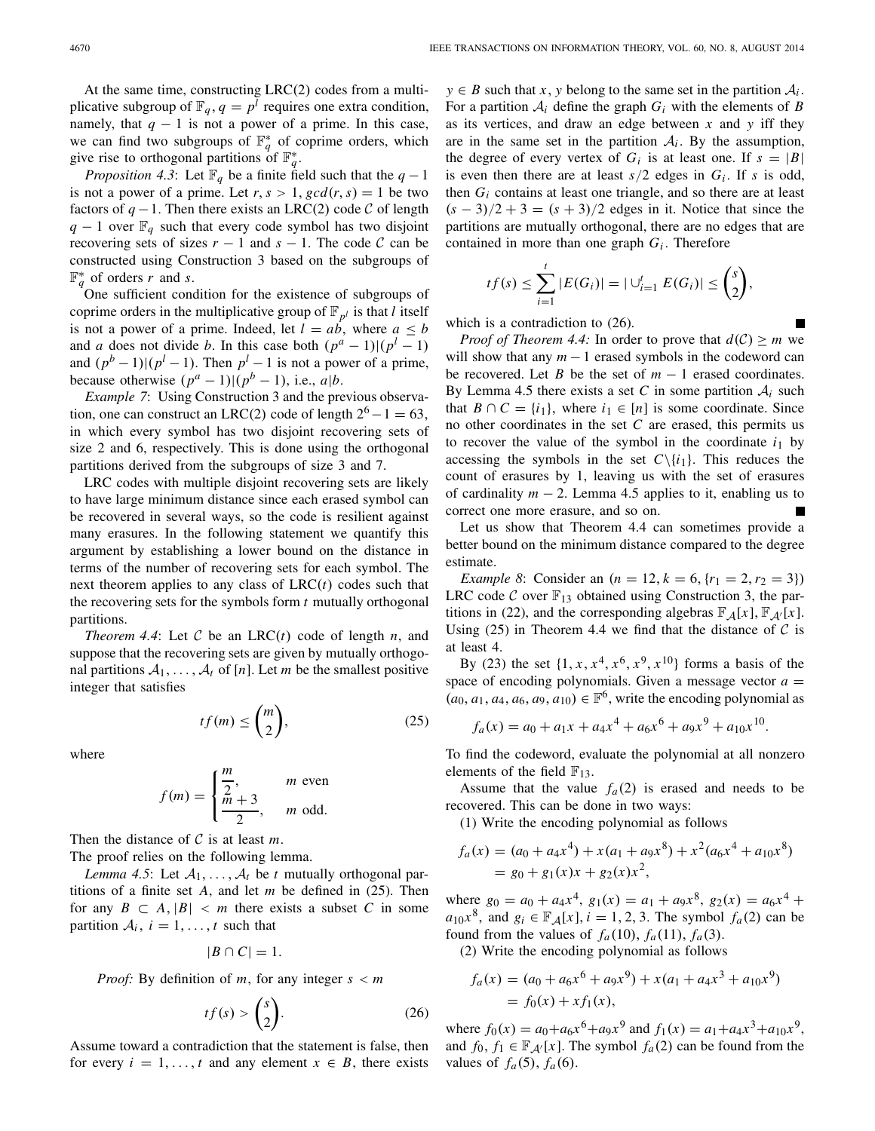At the same time, constructing LRC(2) codes from a multiplicative subgroup of  $\mathbb{F}_q$ ,  $q = p^l$  requires one extra condition, namely, that  $q - 1$  is not a power of a prime. In this case, we can find two subgroups of  $\mathbb{F}_q^*$  of coprime orders, which give rise to orthogonal partitions of  $\mathbb{F}_q^*$ .

*Proposition 4.3*: Let  $\mathbb{F}_q$  be a finite field such that the  $q-1$ is not a power of a prime. Let  $r, s > 1$ ,  $gcd(r, s) = 1$  be two factors of  $q-1$ . Then there exists an LRC(2) code  $C$  of length *q* − 1 over  $\mathbb{F}_q$  such that every code symbol has two disjoint recovering sets of sizes  $r - 1$  and  $s - 1$ . The code  $C$  can be constructed using Construction 3 based on the subgroups of  $\mathbb{F}_q^*$  of orders *r* and *s*.

One sufficient condition for the existence of subgroups of coprime orders in the multiplicative group of  $\mathbb{F}_{p^l}$  is that *l* itself is not a power of a prime. Indeed, let  $l = ab$ , where  $a \leq b$ and *a* does not divide *b*. In this case both  $(p^a - 1)|(p^l - 1)$ and  $(p^b - 1)(p^l - 1)$ . Then  $p^l - 1$  is not a power of a prime, because otherwise  $(p^a - 1)|(p^b - 1)$ , i.e.,  $a|b$ .

*Example 7*: Using Construction 3 and the previous observation, one can construct an LRC(2) code of length  $2^{6} - 1 = 63$ , in which every symbol has two disjoint recovering sets of size 2 and 6, respectively. This is done using the orthogonal partitions derived from the subgroups of size 3 and 7.

LRC codes with multiple disjoint recovering sets are likely to have large minimum distance since each erased symbol can be recovered in several ways, so the code is resilient against many erasures. In the following statement we quantify this argument by establishing a lower bound on the distance in terms of the number of recovering sets for each symbol. The next theorem applies to any class of LRC(*t*) codes such that the recovering sets for the symbols form *t* mutually orthogonal partitions.

*Theorem 4.4*: Let  $C$  be an LRC( $t$ ) code of length  $n$ , and suppose that the recovering sets are given by mutually orthogonal partitions  $A_1, \ldots, A_t$  of [n]. Let *m* be the smallest positive integer that satisfies

> 2 λ

 $(25)$ 

 $tf(m) \leq \binom{m}{2}$ 

where

$$
f(m) = \begin{cases} \frac{m}{2}, & m \text{ even} \\ \frac{m+3}{2}, & m \text{ odd.} \end{cases}
$$

Then the distance of *C* is at least *m*.

The proof relies on the following lemma.

*Lemma 4.5*: Let  $A_1, \ldots, A_t$  be *t* mutually orthogonal partitions of a finite set *A*, and let *m* be defined in (25). Then for any  $B \subset A, |B| < m$  there exists a subset C in some partition  $A_i$ ,  $i = 1, \ldots, t$  such that

$$
|B \cap C| = 1.
$$

*Proof:* By definition of *m*, for any integer *s* < *m*

$$
tf(s) > \binom{s}{2}.\tag{26}
$$

Assume toward a contradiction that the statement is false, then for every  $i = 1, \ldots, t$  and any element  $x \in B$ , there exists  $y \in B$  such that *x*, *y* belong to the same set in the partition  $A_i$ . For a partition  $A_i$  define the graph  $G_i$  with the elements of *B* as its vertices, and draw an edge between *x* and *y* iff they are in the same set in the partition  $A_i$ . By the assumption, the degree of every vertex of  $G_i$  is at least one. If  $s = |B|$ is even then there are at least  $s/2$  edges in  $G_i$ . If *s* is odd, then *Gi* contains at least one triangle, and so there are at least  $(s-3)/2 + 3 = (s + 3)/2$  edges in it. Notice that since the partitions are mutually orthogonal, there are no edges that are contained in more than one graph  $G_i$ . Therefore

$$
tf(s) \leq \sum_{i=1}^{t} |E(G_i)| = |\bigcup_{i=1}^{t} E(G_i)| \leq {s \choose 2},
$$

which is a contradiction to (26).

*Proof of Theorem 4.4:* In order to prove that  $d(C) \ge m$  we will show that any  $m-1$  erased symbols in the codeword can be recovered. Let *B* be the set of  $m - 1$  erased coordinates. By Lemma 4.5 there exists a set C in some partition  $A_i$  such that  $B \cap C = \{i_1\}$ , where  $i_1 \in [n]$  is some coordinate. Since no other coordinates in the set *C* are erased, this permits us to recover the value of the symbol in the coordinate  $i_1$  by accessing the symbols in the set  $C\setminus\{i_1\}$ . This reduces the count of erasures by 1, leaving us with the set of erasures of cardinality  $m - 2$ . Lemma 4.5 applies to it, enabling us to correct one more erasure, and so on.

Let us show that Theorem 4.4 can sometimes provide a better bound on the minimum distance compared to the degree estimate.

*Example 8*: Consider an  $(n = 12, k = 6, \{r_1 = 2, r_2 = 3\})$ LRC code  $C$  over  $\mathbb{F}_{13}$  obtained using Construction 3, the partitions in (22), and the corresponding algebras  $\mathbb{F}_{\mathcal{A}}[x]$ ,  $\mathbb{F}_{\mathcal{A}'}[x]$ . Using (25) in Theorem 4.4 we find that the distance of  $C$  is at least 4.

By (23) the set  $\{1, x, x^4, x^6, x^9, x^{10}\}$  forms a basis of the space of encoding polynomials. Given a message vector  $a =$  $(a_0, a_1, a_4, a_6, a_9, a_{10}) \in \mathbb{F}^6$ , write the encoding polynomial as

$$
f_a(x) = a_0 + a_1x + a_4x^4 + a_6x^6 + a_9x^9 + a_{10}x^{10}.
$$

To find the codeword, evaluate the polynomial at all nonzero elements of the field  $\mathbb{F}_{13}$ .

Assume that the value  $f_a(2)$  is erased and needs to be recovered. This can be done in two ways:

(1) Write the encoding polynomial as follows

$$
f_a(x) = (a_0 + a_4x^4) + x(a_1 + a_9x^8) + x^2(a_6x^4 + a_{10}x^8)
$$
  
=  $g_0 + g_1(x)x + g_2(x)x^2$ ,

where  $g_0 = a_0 + a_4x^4$ ,  $g_1(x) = a_1 + a_9x^8$ ,  $g_2(x) = a_6x^4$  +  $a_{10}x^8$ , and  $g_i \in \mathbb{F}_A[x]$ ,  $i = 1, 2, 3$ . The symbol  $f_a(2)$  can be found from the values of  $f_a(10)$ ,  $f_a(11)$ ,  $f_a(3)$ .

(2) Write the encoding polynomial as follows

$$
f_a(x) = (a_0 + a_6x^6 + a_9x^9) + x(a_1 + a_4x^3 + a_{10}x^9)
$$
  
=  $f_0(x) + xf_1(x)$ ,

where  $f_0(x) = a_0 + a_6x^6 + a_9x^9$  and  $f_1(x) = a_1 + a_4x^3 + a_{10}x^9$ , and  $f_0, f_1 \in \mathbb{F}_{\mathcal{A}}[x]$ . The symbol  $f_a(2)$  can be found from the values of  $f_a(5)$ ,  $f_a(6)$ .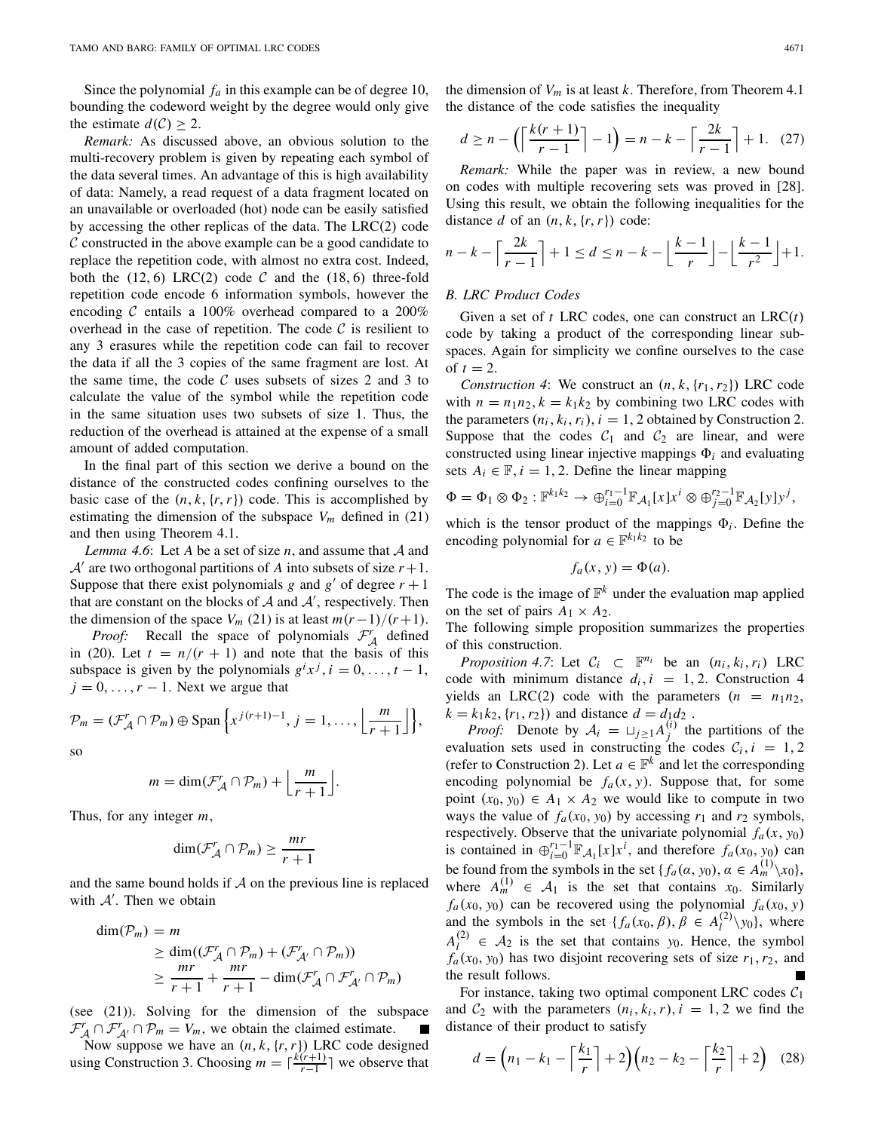Since the polynomial  $f_a$  in this example can be of degree 10, bounding the codeword weight by the degree would only give the estimate  $d(C) > 2$ .

*Remark:* As discussed above, an obvious solution to the multi-recovery problem is given by repeating each symbol of the data several times. An advantage of this is high availability of data: Namely, a read request of a data fragment located on an unavailable or overloaded (hot) node can be easily satisfied by accessing the other replicas of the data. The LRC(2) code *C* constructed in the above example can be a good candidate to replace the repetition code, with almost no extra cost. Indeed, both the  $(12, 6)$  LRC $(2)$  code  $C$  and the  $(18, 6)$  three-fold repetition code encode 6 information symbols, however the encoding *C* entails a 100% overhead compared to a 200% overhead in the case of repetition. The code  $C$  is resilient to any 3 erasures while the repetition code can fail to recover the data if all the 3 copies of the same fragment are lost. At the same time, the code  $C$  uses subsets of sizes 2 and 3 to calculate the value of the symbol while the repetition code in the same situation uses two subsets of size 1. Thus, the reduction of the overhead is attained at the expense of a small amount of added computation.

In the final part of this section we derive a bound on the distance of the constructed codes confining ourselves to the basic case of the  $(n, k, \{r, r\})$  code. This is accomplished by estimating the dimension of the subspace  $V_m$  defined in (21) and then using Theorem 4.1.

*Lemma 4.6*: Let *A* be a set of size *n*, and assume that *A* and *A*<sup> $\prime$ </sup> are two orthogonal partitions of *A* into subsets of size  $r+1$ . Suppose that there exist polynomials *g* and  $g'$  of degree  $r + 1$ that are constant on the blocks of  $A$  and  $A'$ , respectively. Then the dimension of the space  $V_m$  (21) is at least  $m(r-1)/(r+1)$ .

*Proof:* Recall the space of polynomials  $\mathcal{F}_{\mathcal{A}}^{r}$  defined in (20). Let  $t = n/(r + 1)$  and note that the basis of this subspace is given by the polynomials  $g^i x^j$ ,  $i = 0, \ldots, t - 1$ ,  $j = 0, \ldots, r - 1$ . Next we argue that

$$
\mathcal{P}_m = (\mathcal{F}_\mathcal{A}^r \cap \mathcal{P}_m) \oplus \text{Span}\left\{x^{j(r+1)-1}, j=1,\ldots,\left\lfloor\frac{m}{r+1}\right\rfloor\right\},\
$$

so

$$
m = \dim(\mathcal{F}_{\mathcal{A}}^r \cap \mathcal{P}_m) + \left\lfloor \frac{m}{r+1} \right\rfloor.
$$

Thus, for any integer *m*,

$$
\dim(\mathcal{F}_\mathcal{A}^r \cap \mathcal{P}_m) \ge \frac{mr}{r+1}
$$

and the same bound holds if *A* on the previous line is replaced with  $A'$ . Then we obtain

$$
\dim(\mathcal{P}_m) = m
$$
  
\n
$$
\geq \dim((\mathcal{F}_\mathcal{A}' \cap \mathcal{P}_m) + (\mathcal{F}_{\mathcal{A}'}^r \cap \mathcal{P}_m))
$$
  
\n
$$
\geq \frac{mr}{r+1} + \frac{mr}{r+1} - \dim(\mathcal{F}_{\mathcal{A}}^r \cap \mathcal{F}_{\mathcal{A}'}^r \cap \mathcal{P}_m)
$$

(see (21)). Solving for the dimension of the subspace  $\mathcal{F}_{\mathcal{A}}^r \cap \mathcal{F}_{\mathcal{A}'}^r \cap \mathcal{P}_m = V_m$ , we obtain the claimed estimate.

Now suppose we have an  $(n, k, \{r, r\})$  LRC code designed using Construction 3. Choosing  $m = \lceil \frac{k(r+1)}{r-1} \rceil$  we observe that the dimension of *Vm* is at least *k*. Therefore, from Theorem 4.1 the distance of the code satisfies the inequality

$$
d \ge n - \left( \left\lceil \frac{k(r+1)}{r-1} \right\rceil - 1 \right) = n - k - \left\lceil \frac{2k}{r-1} \right\rceil + 1. \tag{27}
$$

*Remark:* While the paper was in review, a new bound on codes with multiple recovering sets was proved in [28]. Using this result, we obtain the following inequalities for the distance *d* of an  $(n, k, \{r, r\})$  code:

$$
n-k-\left\lceil\frac{2k}{r-1}\right\rceil+1\leq d\leq n-k-\left\lfloor\frac{k-1}{r}\right\rfloor-\left\lfloor\frac{k-1}{r^2}\right\rfloor+1.
$$

# *B. LRC Product Codes*

Given a set of *t* LRC codes, one can construct an LRC(*t*) code by taking a product of the corresponding linear subspaces. Again for simplicity we confine ourselves to the case of  $t = 2$ .

*Construction 4*: We construct an  $(n, k, \{r_1, r_2\})$  LRC code with  $n = n_1 n_2$ ,  $k = k_1 k_2$  by combining two LRC codes with the parameters  $(n_i, k_i, r_i)$ ,  $i = 1, 2$  obtained by Construction 2. Suppose that the codes  $C_1$  and  $C_2$  are linear, and were constructed using linear injective mappings  $\Phi_i$  and evaluating sets  $A_i \in \mathbb{F}$ ,  $i = 1, 2$ . Define the linear mapping

$$
\Phi = \Phi_1 \otimes \Phi_2 : \mathbb{F}^{k_1 k_2} \to \oplus_{i=0}^{r_1 - 1} \mathbb{F}_{\mathcal{A}_1}[x] x^i \otimes \oplus_{j=0}^{r_2 - 1} \mathbb{F}_{\mathcal{A}_2}[y] y^j,
$$

which is the tensor product of the mappings  $\Phi_i$ . Define the encoding polynomial for  $a \in \mathbb{F}^{k_1 k_2}$  to be

$$
f_a(x, y) = \Phi(a).
$$

The code is the image of  $\mathbb{F}^k$  under the evaluation map applied on the set of pairs  $A_1 \times A_2$ .

The following simple proposition summarizes the properties of this construction.

*Proposition 4.7*: Let  $C_i \subset \mathbb{F}^{n_i}$  be an  $(n_i, k_i, r_i)$  LRC code with minimum distance  $d_i$ ,  $i = 1, 2$ . Construction 4 yields an LRC(2) code with the parameters  $(n = n_1n_2,$  $k = k_1 k_2$ ,  $\{r_1, r_2\}$  and distance  $d = d_1 d_2$ .

*Proof:* Denote by  $A_i = \bigcup_{j \geq 1} A_j^{(i)}$  the partitions of the evaluation sets used in constructing the codes  $C_i$ ,  $i = 1, 2$ (refer to Construction 2). Let  $a \in \mathbb{F}^k$  and let the corresponding encoding polynomial be  $f_a(x, y)$ . Suppose that, for some point  $(x_0, y_0) \in A_1 \times A_2$  we would like to compute in two ways the value of  $f_a(x_0, y_0)$  by accessing  $r_1$  and  $r_2$  symbols, respectively. Observe that the univariate polynomial  $f_a(x, y_0)$ is contained in  $\bigoplus_{i=0}^{r_1-1} \mathbb{F}_{\mathcal{A}_1}[x]x^i$ , and therefore  $f_a(x_0, y_0)$  can be found from the symbols in the set  $\{f_a(\alpha, y_0), \alpha \in A_m^{(1)} \setminus x_0\}$ , where  $A_m^{(1)} \in \mathcal{A}_1$  is the set that contains  $x_0$ . Similarly  $f_a(x_0, y_0)$  can be recovered using the polynomial  $f_a(x_0, y)$ and the symbols in the set  $\{f_a(x_0, \beta), \beta \in A_l^{(2)} \setminus y_0\}$ , where  $A_l^{(2)} \in \mathcal{A}_2$  is the set that contains *y*<sub>0</sub>. Hence, the symbol  $f_a(x_0, y_0)$  has two disjoint recovering sets of size  $r_1, r_2$ , and the result follows.

For instance, taking two optimal component LRC codes *C*<sup>1</sup> and  $C_2$  with the parameters  $(n_i, k_i, r)$ ,  $i = 1, 2$  we find the distance of their product to satisfy

$$
d = \left(n_1 - k_1 - \left\lceil \frac{k_1}{r} \right\rceil + 2\right) \left(n_2 - k_2 - \left\lceil \frac{k_2}{r} \right\rceil + 2\right) \tag{28}
$$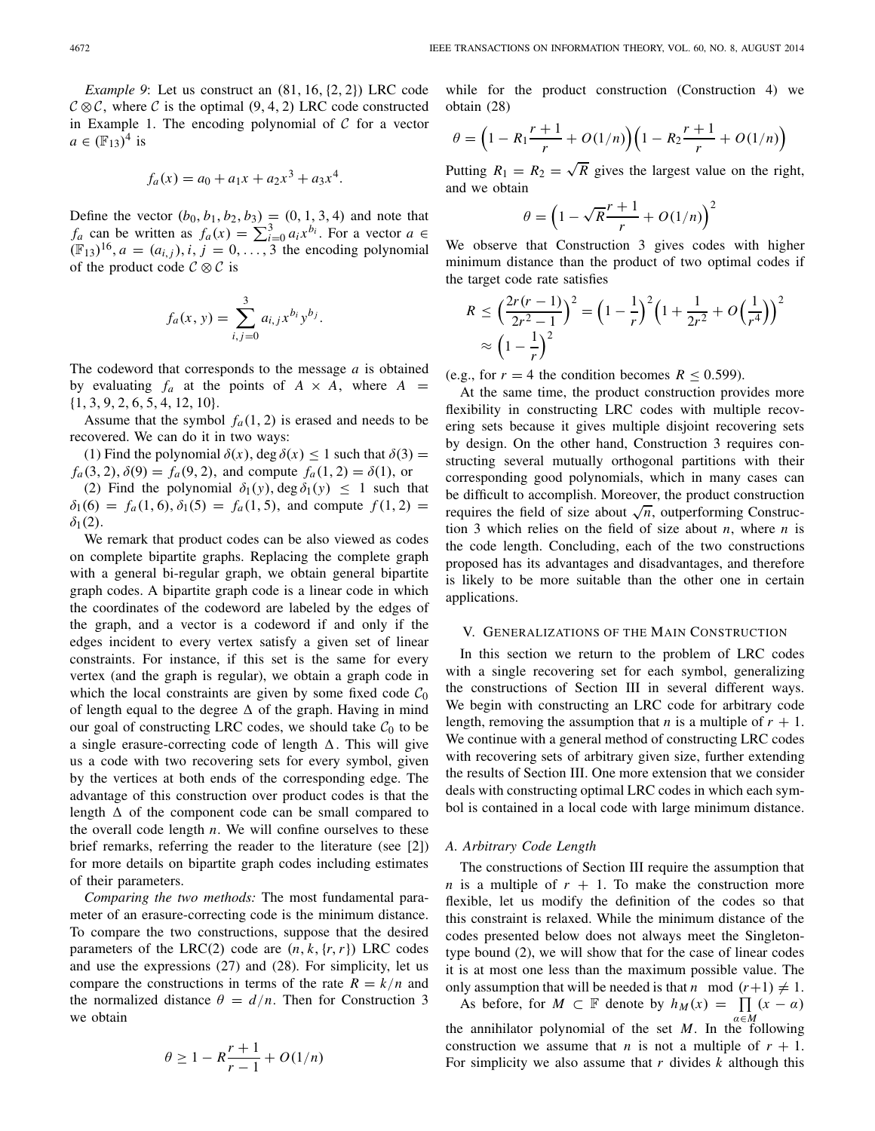*Example 9*: Let us construct an (81, 16,{2, 2}) LRC code  $C \otimes C$ , where *C* is the optimal (9, 4, 2) LRC code constructed in Example 1. The encoding polynomial of *C* for a vector  $a \in (\mathbb{F}_{13})^4$  is

$$
f_a(x) = a_0 + a_1x + a_2x^3 + a_3x^4.
$$

Define the vector  $(b_0, b_1, b_2, b_3) = (0, 1, 3, 4)$  and note that *fa* can be written as  $f_a(x) = \sum_{i=0}^{3} a_i x^{b_i}$ . For a vector  $a \in$  $(\mathbb{F}_{13})^{16}$ ,  $a = (a_{i,j})$ ,  $i, j = 0, \ldots, 3$  the encoding polynomial of the product code  $C \otimes C$  is

$$
f_a(x, y) = \sum_{i,j=0}^{3} a_{i,j} x^{b_i} y^{b_j}.
$$

The codeword that corresponds to the message *a* is obtained by evaluating  $f_a$  at the points of  $A \times A$ , where  $A =$ {1, 3, 9, 2, 6, 5, 4, 12, 10}.

Assume that the symbol  $f_a(1, 2)$  is erased and needs to be recovered. We can do it in two ways:

(1) Find the polynomial  $\delta(x)$ , deg  $\delta(x) \le 1$  such that  $\delta(3) =$  $f_a(3, 2), \delta(9) = f_a(9, 2),$  and compute  $f_a(1, 2) = \delta(1)$ , or

(2) Find the polynomial  $\delta_1(y)$ , deg  $\delta_1(y) \leq 1$  such that  $\delta_1(6) = f_a(1, 6), \delta_1(5) = f_a(1, 5)$ , and compute  $f(1, 2) =$  $\delta_1(2)$ .

We remark that product codes can be also viewed as codes on complete bipartite graphs. Replacing the complete graph with a general bi-regular graph, we obtain general bipartite graph codes. A bipartite graph code is a linear code in which the coordinates of the codeword are labeled by the edges of the graph, and a vector is a codeword if and only if the edges incident to every vertex satisfy a given set of linear constraints. For instance, if this set is the same for every vertex (and the graph is regular), we obtain a graph code in which the local constraints are given by some fixed code  $C_0$ of length equal to the degree  $\Delta$  of the graph. Having in mind our goal of constructing LRC codes, we should take  $C_0$  to be a single erasure-correcting code of length  $\Delta$ . This will give us a code with two recovering sets for every symbol, given by the vertices at both ends of the corresponding edge. The advantage of this construction over product codes is that the length  $\Delta$  of the component code can be small compared to the overall code length *n*. We will confine ourselves to these brief remarks, referring the reader to the literature (see [2]) for more details on bipartite graph codes including estimates of their parameters.

*Comparing the two methods:* The most fundamental parameter of an erasure-correcting code is the minimum distance. To compare the two constructions, suppose that the desired parameters of the LRC(2) code are  $(n, k, \{r, r\})$  LRC codes and use the expressions (27) and (28). For simplicity, let us compare the constructions in terms of the rate  $R = k/n$  and the normalized distance  $\theta = d/n$ . Then for Construction 3 we obtain

$$
\theta \ge 1 - R \frac{r+1}{r-1} + O(1/n)
$$

while for the product construction (Construction 4) we obtain (28)

$$
\theta = \left(1 - R_1 \frac{r+1}{r} + O(1/n)\right) \left(1 - R_2 \frac{r+1}{r} + O(1/n)\right)
$$

Putting  $R_1 = R_2 = \sqrt{R}$  gives the largest value on the right, and we obtain

$$
\theta = \left(1 - \sqrt{R}\frac{r+1}{r} + O(1/n)\right)^2
$$

We observe that Construction 3 gives codes with higher minimum distance than the product of two optimal codes if the target code rate satisfies

$$
R \le \left(\frac{2r(r-1)}{2r^2-1}\right)^2 = \left(1 - \frac{1}{r}\right)^2 \left(1 + \frac{1}{2r^2} + O\left(\frac{1}{r^4}\right)\right)^2
$$
  
 
$$
\approx \left(1 - \frac{1}{r}\right)^2
$$

(e.g., for  $r = 4$  the condition becomes  $R \le 0.599$ ).

At the same time, the product construction provides more flexibility in constructing LRC codes with multiple recovering sets because it gives multiple disjoint recovering sets by design. On the other hand, Construction 3 requires constructing several mutually orthogonal partitions with their corresponding good polynomials, which in many cases can be difficult to accomplish. Moreover, the product construction requires the field of size about  $\sqrt{n}$ , outperforming Construction 3 which relies on the field of size about *n*, where *n* is the code length. Concluding, each of the two constructions proposed has its advantages and disadvantages, and therefore is likely to be more suitable than the other one in certain applications.

#### V. GENERALIZATIONS OF THE MAIN CONSTRUCTION

In this section we return to the problem of LRC codes with a single recovering set for each symbol, generalizing the constructions of Section III in several different ways. We begin with constructing an LRC code for arbitrary code length, removing the assumption that *n* is a multiple of  $r + 1$ . We continue with a general method of constructing LRC codes with recovering sets of arbitrary given size, further extending the results of Section III. One more extension that we consider deals with constructing optimal LRC codes in which each symbol is contained in a local code with large minimum distance.

## *A. Arbitrary Code Length*

The constructions of Section III require the assumption that *n* is a multiple of  $r + 1$ . To make the construction more flexible, let us modify the definition of the codes so that this constraint is relaxed. While the minimum distance of the codes presented below does not always meet the Singletontype bound (2), we will show that for the case of linear codes it is at most one less than the maximum possible value. The only assumption that will be needed is that *n* mod  $(r+1) \neq 1$ .

As before, for  $M \subset \mathbb{F}$  denote by  $h_M(x) = \prod_{n=1}^{\infty} (x - a)^n$ the annihilator polynomial of the set *M*. In the following construction we assume that *n* is not a multiple of  $r + 1$ . For simplicity we also assume that *r* divides *k* although this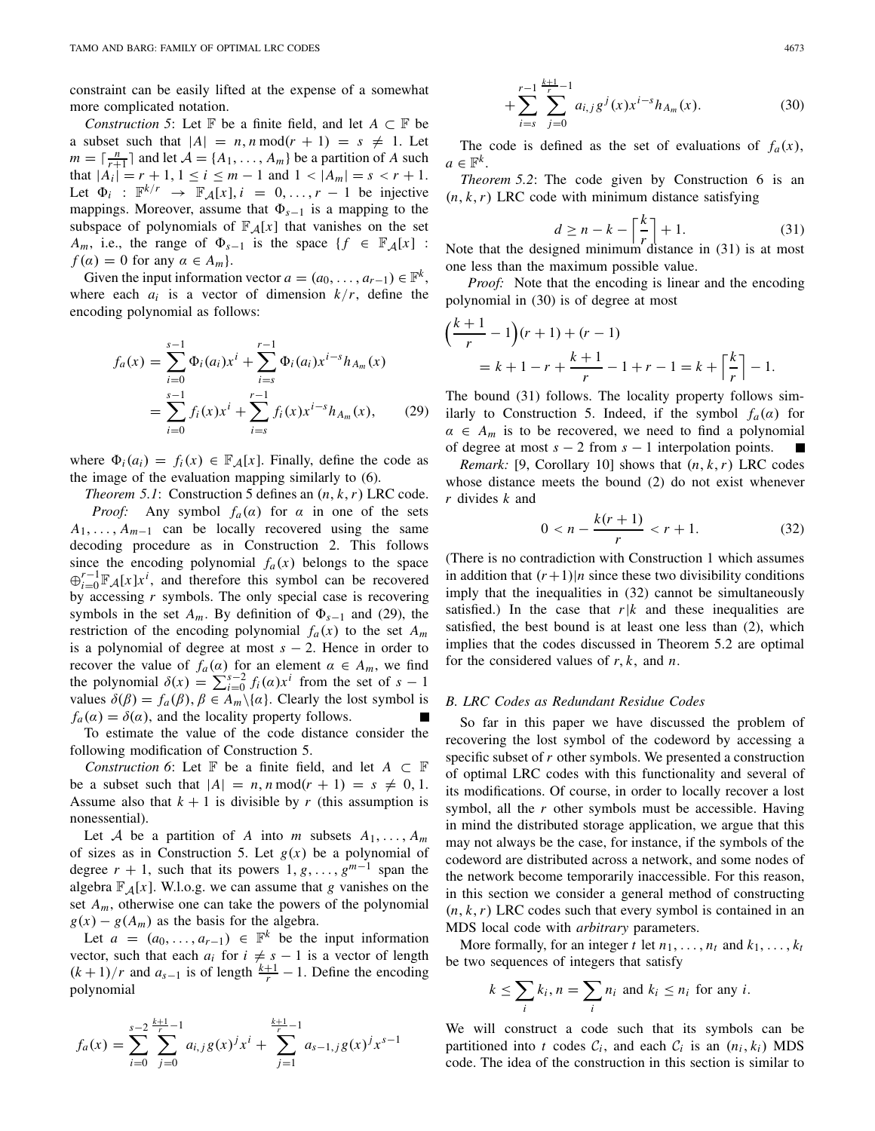constraint can be easily lifted at the expense of a somewhat more complicated notation.

*Construction 5*: Let  $\mathbb F$  be a finite field, and let  $A \subset \mathbb F$  be a subset such that  $|A| = n$ ,  $n \mod (r + 1) = s \neq 1$ . Let  $m = \lceil \frac{n}{r+1} \rceil$  and let  $\mathcal{A} = \{A_1, \ldots, A_m\}$  be a partition of *A* such that  $|A_i| = r + 1$ ,  $1 \le i \le m - 1$  and  $1 < |A_m| = s < r + 1$ . Let  $\Phi_i$  :  $\mathbb{F}^{k/r} \to \mathbb{F}_A[x], i = 0, ..., r - 1$  be injective mappings. Moreover, assume that  $\Phi_{s-1}$  is a mapping to the subspace of polynomials of  $\mathbb{F}_A[x]$  that vanishes on the set *A<sub>m</sub>*, i.e., the range of  $\Phi_{s-1}$  is the space { $f \in \mathbb{F}_A[x]$  :  $f(\alpha) = 0$  for any  $\alpha \in A_m$ .

Given the input information vector  $a = (a_0, \ldots, a_{r-1}) \in \mathbb{F}^k$ , where each  $a_i$  is a vector of dimension  $k/r$ , define the encoding polynomial as follows:

$$
f_a(x) = \sum_{i=0}^{s-1} \Phi_i(a_i) x^i + \sum_{i=s}^{r-1} \Phi_i(a_i) x^{i-s} h_{A_m}(x)
$$
  
= 
$$
\sum_{i=0}^{s-1} f_i(x) x^i + \sum_{i=s}^{r-1} f_i(x) x^{i-s} h_{A_m}(x),
$$
 (29)

where  $\Phi_i(a_i) = f_i(x) \in \mathbb{F}_A[x]$ . Finally, define the code as the image of the evaluation mapping similarly to (6).

*Theorem 5.1*: Construction 5 defines an (*n*, *k*,*r*) LRC code.

*Proof:* Any symbol  $f_a(\alpha)$  for  $\alpha$  in one of the sets *A*1,..., *Am*<sup>−</sup><sup>1</sup> can be locally recovered using the same decoding procedure as in Construction 2. This follows since the encoding polynomial  $f_a(x)$  belongs to the space  $\bigoplus_{i=0}^{r-1} \mathbb{F}_A[x]x^i$ , and therefore this symbol can be recovered by accessing *r* symbols. The only special case is recovering symbols in the set  $A_m$ . By definition of  $\Phi_{s-1}$  and (29), the restriction of the encoding polynomial  $f_a(x)$  to the set  $A_m$ is a polynomial of degree at most *s* − 2. Hence in order to recover the value of  $f_a(\alpha)$  for an element  $\alpha \in A_m$ , we find the polynomial  $\delta(x) = \sum_{i=0}^{s-2} f_i(\alpha) x^i$  from the set of  $s - 1$ values  $\delta(\beta) = f_a(\beta), \beta \in A_m \setminus \{a\}$ . Clearly the lost symbol is  $f_a(\alpha) = \delta(\alpha)$ , and the locality property follows.

To estimate the value of the code distance consider the following modification of Construction 5.

*Construction 6*: Let  $\mathbb F$  be a finite field, and let  $A \subset \mathbb F$ be a subset such that  $|A| = n$ ,  $n \mod (r + 1) = s \neq 0, 1$ . Assume also that  $k + 1$  is divisible by r (this assumption is nonessential).

Let *A* be a partition of *A* into *m* subsets  $A_1, \ldots, A_m$ of sizes as in Construction 5. Let  $g(x)$  be a polynomial of degree  $r + 1$ , such that its powers  $1, g, \ldots, g^{m-1}$  span the algebra  $\mathbb{F}_{\mathcal{A}}[x]$ . W.l.o.g. we can assume that *g* vanishes on the set  $A_m$ , otherwise one can take the powers of the polynomial  $g(x) - g(A_m)$  as the basis for the algebra.

Let  $a = (a_0, \ldots, a_{r-1}) \in \mathbb{F}^k$  be the input information vector, such that each  $a_i$  for  $i \neq s - 1$  is a vector of length  $(k+1)/r$  and  $a_{s-1}$  is of length  $\frac{k+1}{r} - 1$ . Define the encoding polynomial

$$
f_a(x) = \sum_{i=0}^{s-2} \sum_{j=0}^{\frac{k+1}{r}-1} a_{i,j} g(x)^j x^i + \sum_{j=1}^{\frac{k+1}{r}-1} a_{s-1,j} g(x)^j x^{s-1}
$$

$$
+\sum_{i=s}^{r-1}\sum_{j=0}^{\frac{k+1}{r}-1}a_{i,j}g^j(x)x^{i-s}h_{A_m}(x).
$$
 (30)

The code is defined as the set of evaluations of  $f_a(x)$ ,  $a \in \mathbb{F}^k$ .

*Theorem 5.2*: The code given by Construction 6 is an  $(n, k, r)$  LRC code with minimum distance satisfying

$$
d \ge n - k - \left\lceil \frac{k}{r} \right\rceil + 1.
$$
 (31)

Note that the designed minimum distance in (31) is at most one less than the maximum possible value.

*Proof:* Note that the encoding is linear and the encoding polynomial in (30) is of degree at most

$$
\left(\frac{k+1}{r} - 1\right)(r+1) + (r-1) \\
 = k+1-r + \frac{k+1}{r} - 1 + r - 1 = k + \left\lceil \frac{k}{r} \right\rceil - 1.
$$

The bound (31) follows. The locality property follows similarly to Construction 5. Indeed, if the symbol  $f_a(\alpha)$  for  $\alpha \in A_m$  is to be recovered, we need to find a polynomial of degree at most *s* − 2 from *s* − 1 interpolation points. ×

*Remark:* [9, Corollary 10] shows that  $(n, k, r)$  LRC codes whose distance meets the bound (2) do not exist whenever *r* divides *k* and

$$
0 < n - \frac{k(r+1)}{r} < r + 1. \tag{32}
$$

(There is no contradiction with Construction 1 which assumes in addition that  $(r+1)/n$  since these two divisibility conditions imply that the inequalities in (32) cannot be simultaneously satisfied.) In the case that  $r/k$  and these inequalities are satisfied, the best bound is at least one less than (2), which implies that the codes discussed in Theorem 5.2 are optimal for the considered values of *r*, *k*, and *n*.

#### *B. LRC Codes as Redundant Residue Codes*

So far in this paper we have discussed the problem of recovering the lost symbol of the codeword by accessing a specific subset of *r* other symbols. We presented a construction of optimal LRC codes with this functionality and several of its modifications. Of course, in order to locally recover a lost symbol, all the *r* other symbols must be accessible. Having in mind the distributed storage application, we argue that this may not always be the case, for instance, if the symbols of the codeword are distributed across a network, and some nodes of the network become temporarily inaccessible. For this reason, in this section we consider a general method of constructing  $(n, k, r)$  LRC codes such that every symbol is contained in an MDS local code with *arbitrary* parameters.

More formally, for an integer *t* let  $n_1, \ldots, n_t$  and  $k_1, \ldots, k_t$ be two sequences of integers that satisfy

$$
k \leq \sum_{i} k_i, n = \sum_{i} n_i \text{ and } k_i \leq n_i \text{ for any } i.
$$

We will construct a code such that its symbols can be partitioned into *t* codes  $C_i$ , and each  $C_i$  is an  $(n_i, k_i)$  MDS code. The idea of the construction in this section is similar to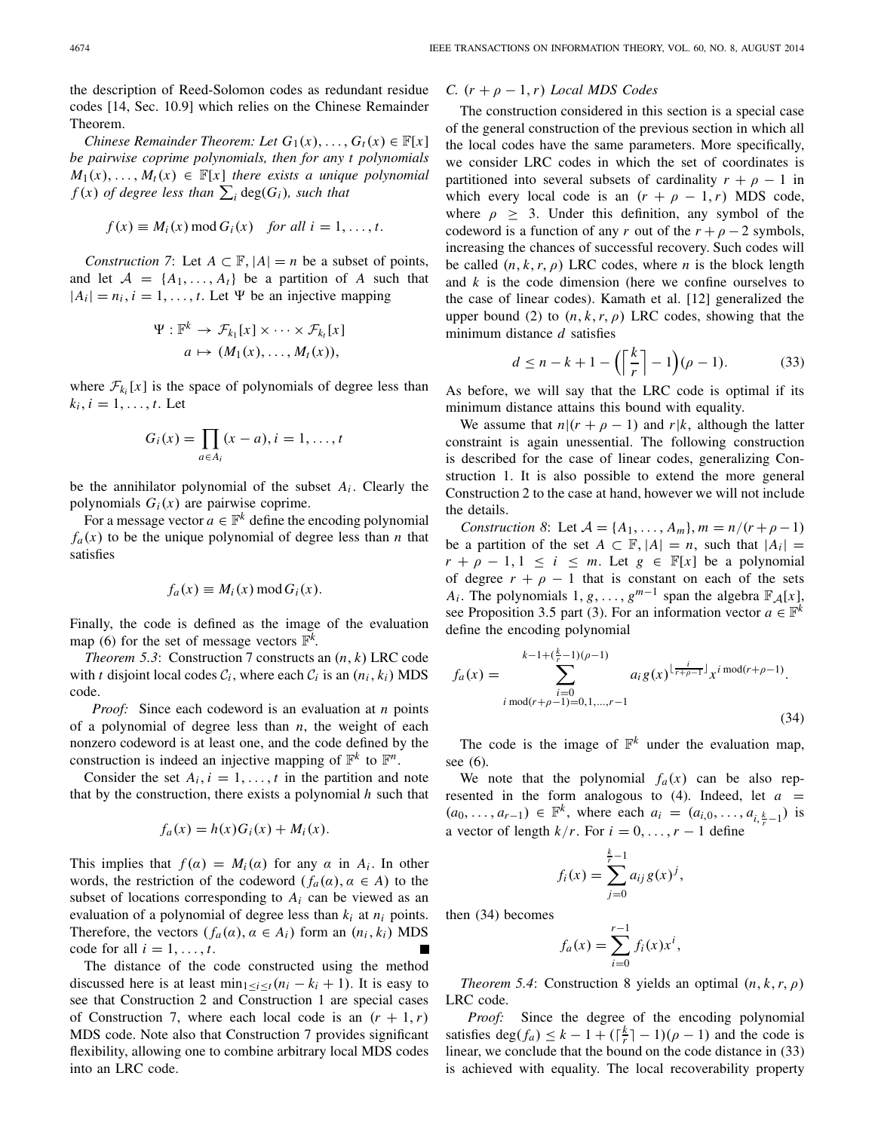the description of Reed-Solomon codes as redundant residue codes [14, Sec. 10.9] which relies on the Chinese Remainder Theorem.

*Chinese Remainder Theorem: Let*  $G_1(x), \ldots, G_t(x) \in \mathbb{F}[x]$ *be pairwise coprime polynomials, then for any t polynomials*  $M_1(x), \ldots, M_t(x) \in \mathbb{F}[x]$  *there exists a unique polynomial f*(*x*) *of degree less than*  $\sum_i deg(G_i)$ *, such that* 

$$
f(x) \equiv M_i(x) \bmod G_i(x) \quad \text{for all } i = 1, \ldots, t.
$$

*Construction 7*: Let  $A \subset \mathbb{F}$ ,  $|A| = n$  be a subset of points, and let  $A = \{A_1, \ldots, A_t\}$  be a partition of A such that  $|A_i| = n_i$ ,  $i = 1, \ldots, t$ . Let  $\Psi$  be an injective mapping

$$
\Psi: \mathbb{F}^k \to \mathcal{F}_{k_1}[x] \times \cdots \times \mathcal{F}_{k_t}[x]
$$

$$
a \mapsto (M_1(x), \ldots, M_t(x)),
$$

where  $\mathcal{F}_{k_i}[x]$  is the space of polynomials of degree less than  $k_i$ ,  $i = 1, \ldots, t$ . Let

$$
G_i(x) = \prod_{a \in A_i} (x - a), i = 1, \ldots, t
$$

be the annihilator polynomial of the subset  $A_i$ . Clearly the polynomials  $G_i(x)$  are pairwise coprime.

For a message vector  $a \in \mathbb{F}^k$  define the encoding polynomial  $f_a(x)$  to be the unique polynomial of degree less than *n* that satisfies

$$
f_a(x) \equiv M_i(x) \bmod G_i(x).
$$

Finally, the code is defined as the image of the evaluation map (6) for the set of message vectors  $\mathbb{F}^k$ .

*Theorem 5.3*: Construction 7 constructs an (*n*, *k*) LRC code with *t* disjoint local codes  $C_i$ , where each  $C_i$  is an  $(n_i, k_i)$  MDS code.

*Proof:* Since each codeword is an evaluation at *n* points of a polynomial of degree less than *n*, the weight of each nonzero codeword is at least one, and the code defined by the construction is indeed an injective mapping of  $\mathbb{F}^k$  to  $\mathbb{F}^n$ .

Consider the set  $A_i$ ,  $i = 1, \ldots, t$  in the partition and note that by the construction, there exists a polynomial *h* such that

$$
f_a(x) = h(x)G_i(x) + M_i(x).
$$

This implies that  $f(\alpha) = M_i(\alpha)$  for any  $\alpha$  in  $A_i$ . In other words, the restriction of the codeword  $(f_a(\alpha), \alpha \in A)$  to the subset of locations corresponding to  $A_i$  can be viewed as an evaluation of a polynomial of degree less than *ki* at *ni* points. Therefore, the vectors  $(f_a(\alpha), \alpha \in A_i)$  form an  $(n_i, k_i)$  MDS code for all  $i = 1, \ldots, t$ .

The distance of the code constructed using the method discussed here is at least  $\min_{1 \leq i \leq t} (n_i - k_i + 1)$ . It is easy to see that Construction 2 and Construction 1 are special cases of Construction 7, where each local code is an  $(r + 1, r)$ MDS code. Note also that Construction 7 provides significant flexibility, allowing one to combine arbitrary local MDS codes into an LRC code.

## *C.* (*r* + ρ − 1,*r*) *Local MDS Codes*

The construction considered in this section is a special case of the general construction of the previous section in which all the local codes have the same parameters. More specifically, we consider LRC codes in which the set of coordinates is partitioned into several subsets of cardinality  $r + \rho - 1$  in which every local code is an  $(r + \rho - 1, r)$  MDS code, where  $\rho > 3$ . Under this definition, any symbol of the codeword is a function of any *r* out of the  $r + \rho - 2$  symbols, increasing the chances of successful recovery. Such codes will be called  $(n, k, r, \rho)$  LRC codes, where *n* is the block length and *k* is the code dimension (here we confine ourselves to the case of linear codes). Kamath et al. [12] generalized the upper bound (2) to  $(n, k, r, \rho)$  LRC codes, showing that the minimum distance *d* satisfies

$$
d \le n - k + 1 - \left(\left\lceil \frac{k}{r} \right\rceil - 1\right)(\rho - 1). \tag{33}
$$

As before, we will say that the LRC code is optimal if its minimum distance attains this bound with equality.

We assume that  $n|(r + \rho - 1)$  and  $r|k$ , although the latter constraint is again unessential. The following construction is described for the case of linear codes, generalizing Construction 1. It is also possible to extend the more general Construction 2 to the case at hand, however we will not include the details.

*Construction 8*: Let  $A = \{A_1, ..., A_m\}$ ,  $m = n/(r + p - 1)$ be a partition of the set  $A \subset \mathbb{F}$ ,  $|A| = n$ , such that  $|A_i| =$  $r + \rho - 1, 1 \leq i \leq m$ . Let  $g \in \mathbb{F}[x]$  be a polynomial of degree  $r + \rho - 1$  that is constant on each of the sets *A<sub>i</sub>*. The polynomials 1, *g*,...,  $g^{m-1}$  span the algebra  $\mathbb{F}_{\mathcal{A}}[x]$ , see Proposition 3.5 part (3). For an information vector  $a \in \mathbb{F}^k$ define the encoding polynomial

$$
f_a(x) = \sum_{i \text{ mod}(r+\rho-1)=0,1,\dots,r-1}^{k-1+(\frac{k}{r}-1)(\rho-1)} a_i g(x)^{\lfloor \frac{i}{r+\rho-1} \rfloor} x^{i \text{ mod}(r+\rho-1)}.
$$
\n(34)

The code is the image of  $\mathbb{F}^k$  under the evaluation map, see (6).

We note that the polynomial  $f_a(x)$  can be also represented in the form analogous to  $(4)$ . Indeed, let  $a =$  $(a_0, ..., a_{r-1})$  ∈  $\mathbb{F}^k$ , where each  $a_i = (a_{i,0}, ..., a_{i,\frac{k}{r}-1})$  is a vector of length  $k/r$ . For  $i = 0, \ldots, r - 1$  define

$$
f_i(x) = \sum_{j=0}^{\frac{k}{r}-1} a_{ij} g(x)^j,
$$

then (34) becomes

$$
f_a(x) = \sum_{i=0}^{r-1} f_i(x) x^i,
$$

*Theorem 5.4*: Construction 8 yields an optimal  $(n, k, r, \rho)$ LRC code.

*Proof:* Since the degree of the encoding polynomial satisfies deg( $f_a$ )  $\leq k - 1 + (\lceil \frac{k}{r} \rceil - 1)(\rho - 1)$  and the code is linear, we conclude that the bound on the code distance in (33) is achieved with equality. The local recoverability property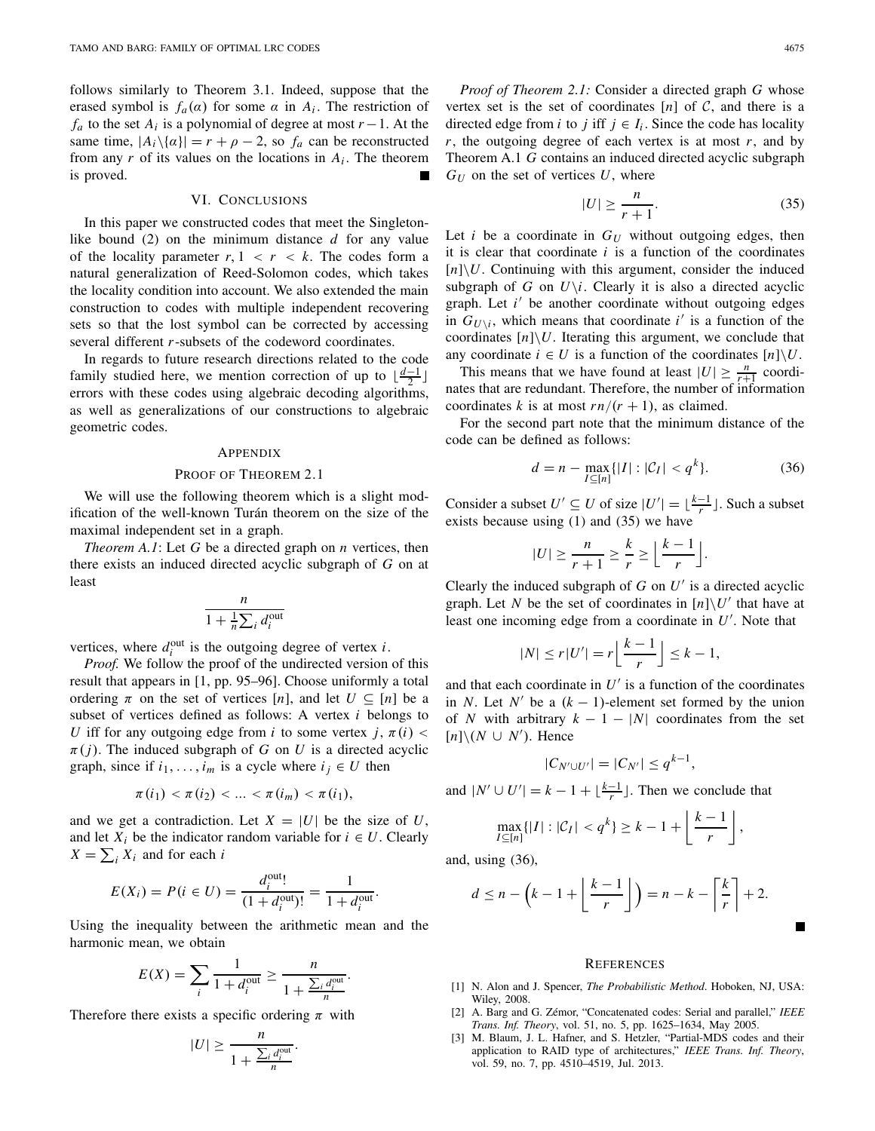follows similarly to Theorem 3.1. Indeed, suppose that the erased symbol is  $f_a(\alpha)$  for some  $\alpha$  in  $A_i$ . The restriction of *f<sub>a</sub>* to the set  $A_i$  is a polynomial of degree at most  $r - 1$ . At the same time,  $|A_i \setminus \{a\}| = r + \rho - 2$ , so  $f_a$  can be reconstructed from any  $r$  of its values on the locations in  $A_i$ . The theorem is proved. П

## VI. CONCLUSIONS

In this paper we constructed codes that meet the Singletonlike bound (2) on the minimum distance *d* for any value of the locality parameter  $r, 1 \le r \le k$ . The codes form a natural generalization of Reed-Solomon codes, which takes the locality condition into account. We also extended the main construction to codes with multiple independent recovering sets so that the lost symbol can be corrected by accessing several different *r*-subsets of the codeword coordinates.

In regards to future research directions related to the code family studied here, we mention correction of up to  $\lfloor \frac{d-1}{2} \rfloor$ errors with these codes using algebraic decoding algorithms, as well as generalizations of our constructions to algebraic geometric codes.

#### APPENDIX

#### PROOF OF THEOREM 2.1

We will use the following theorem which is a slight modification of the well-known Turán theorem on the size of the maximal independent set in a graph.

*Theorem A.1*: Let *G* be a directed graph on *n* vertices, then there exists an induced directed acyclic subgraph of *G* on at least

$$
\frac{n}{1 + \frac{1}{n} \sum_{i} d_i^{\text{out}}}
$$

vertices, where  $d_i^{\text{out}}$  is the outgoing degree of vertex *i*.

*Proof.* We follow the proof of the undirected version of this result that appears in [1, pp. 95–96]. Choose uniformly a total ordering  $\pi$  on the set of vertices [n], and let  $U \subseteq [n]$  be a subset of vertices defined as follows: A vertex *i* belongs to *U* iff for any outgoing edge from *i* to some vertex  $j, \pi(i)$  <  $\pi(j)$ . The induced subgraph of *G* on *U* is a directed acyclic graph, since if  $i_1, \ldots, i_m$  is a cycle where  $i_j \in U$  then

$$
\pi(i_1) < \pi(i_2) < \ldots < \pi(i_m) < \pi(i_1),
$$

and we get a contradiction. Let  $X = |U|$  be the size of U, and let  $X_i$  be the indicator random variable for  $i \in U$ . Clearly  $X = \sum_i X_i$  and for each *i* 

$$
E(X_i) = P(i \in U) = \frac{d_i^{\text{out}}!}{(1 + d_i^{\text{out}})!} = \frac{1}{1 + d_i^{\text{out}}}.
$$

Using the inequality between the arithmetic mean and the harmonic mean, we obtain

$$
E(X) = \sum_{i} \frac{1}{1 + d_i^{\text{out}}} \ge \frac{n}{1 + \frac{\sum_i d_i^{\text{out}}}{n}}.
$$

Therefore there exists a specific ordering  $\pi$  with

$$
|U| \ge \frac{n}{1 + \frac{\sum_i d_i^{\text{out}}}{n}}.
$$

vertex set is the set of coordinates  $[n]$  of  $C$ , and there is a directed edge from *i* to *j* iff  $j \in I_i$ . Since the code has locality *r*, the outgoing degree of each vertex is at most *r*, and by Theorem A.1 *G* contains an induced directed acyclic subgraph *GU* on the set of vertices *U*, where

$$
|U| \ge \frac{n}{r+1}.\tag{35}
$$

Let  $i$  be a coordinate in  $G_U$  without outgoing edges, then it is clear that coordinate  $i$  is a function of the coordinates  $[n]\setminus U$ . Continuing with this argument, consider the induced subgraph of *G* on  $U\setminus i$ . Clearly it is also a directed acyclic graph. Let *i'* be another coordinate without outgoing edges in  $G_{U\setminus i}$ , which means that coordinate *i'* is a function of the coordinates  $[n] \backslash U$ . Iterating this argument, we conclude that any coordinate  $i \in U$  is a function of the coordinates  $[n]\setminus U$ .

This means that we have found at least  $|U| \ge \frac{n}{r+1}$  coordinates that are redundant. Therefore, the number of information coordinates *k* is at most  $rn/(r + 1)$ , as claimed.

For the second part note that the minimum distance of the code can be defined as follows:

$$
d = n - \max_{I \subseteq [n]} \{ |I| : |\mathcal{C}_I| < q^k \}. \tag{36}
$$

Consider a subset  $U' \subseteq U$  of size  $|U'| = \lfloor \frac{k-1}{r} \rfloor$ . Such a subset exists because using (1) and (35) we have

$$
|U| \ge \frac{n}{r+1} \ge \frac{k}{r} \ge \left\lfloor \frac{k-1}{r} \right\rfloor.
$$

Clearly the induced subgraph of  $G$  on  $U'$  is a directed acyclic graph. Let *N* be the set of coordinates in  $[n]\setminus U'$  that have at least one incoming edge from a coordinate in  $U'$ . Note that

$$
|N| \le r|U'| = r\left\lfloor \frac{k-1}{r} \right\rfloor \le k-1,
$$

and that each coordinate in  $U'$  is a function of the coordinates in *N*. Let *N'* be a  $(k - 1)$ -element set formed by the union of *N* with arbitrary  $k - 1 - |N|$  coordinates from the set  $[n]\setminus (N \cup N')$ . Hence

$$
|C_{N' \cup U'}| = |C_{N'}| \le q^{k-1},
$$

and  $|N' \cup U'| = k - 1 + \lfloor \frac{k-1}{r} \rfloor$ . Then we conclude that

$$
\max_{I\subseteq[n]}\{|I|:|\mathcal{C}_I|
$$

and, using (36),

$$
d \leq n - \left(k - 1 + \left\lfloor \frac{k - 1}{r} \right\rfloor\right) = n - k - \left\lceil \frac{k}{r} \right\rceil + 2.
$$

# **REFERENCES**

- [1] N. Alon and J. Spencer, *The Probabilistic Method*. Hoboken, NJ, USA: Wiley, 2008.
- [2] A. Barg and G. Zémor, "Concatenated codes: Serial and parallel," *IEEE Trans. Inf. Theory*, vol. 51, no. 5, pp. 1625–1634, May 2005.
- [3] M. Blaum, J. L. Hafner, and S. Hetzler, "Partial-MDS codes and their application to RAID type of architectures," *IEEE Trans. Inf. Theory*, vol. 59, no. 7, pp. 4510–4519, Jul. 2013.